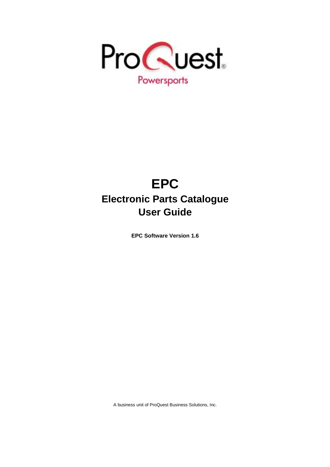

## **EPC Electronic Parts Catalogue User Guide**

**EPC Software Version 1.6**

A business unit of ProQuest Business Solutions, Inc.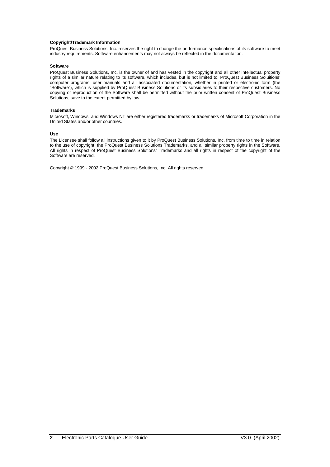#### **Copyright/Trademark Information**

ProQuest Business Solutions, Inc. reserves the right to change the performance specifications of its software to meet industry requirements. Software enhancements may not always be reflected in the documentation.

#### **Software**

ProQuest Business Solutions, Inc. is the owner of and has vested in the copyright and all other intellectual property rights of a similar nature relating to its software, which includes, but is not limited to, ProQuest Business Soluitions' computer programs, user manuals and all associated documentation, whether in printed or electronic form (the "Software"), which is supplied by ProQuest Business Solutions or its subsidiaries to their respective customers. No copying or reproduction of the Software shall be permitted without the prior written consent of ProQuest Business Solutions, save to the extent permitted by law.

#### **Trademarks**

Microsoft, Windows, and Windows NT are either registered trademarks or trademarks of Microsoft Corporation in the United States and/or other countries.

#### **Use**

The Licensee shall follow all instructions given to it by ProQuest Business Solutions, Inc. from time to time in relation to the use of copyright, the ProQuest Business Solutions Trademarks, and all similar property rights in the Software. All rights in respect of ProQuest Business Solutions' Trademarks and all rights in respect of the copyright of the Software are reserved.

Copyright © 1999 - 2002 ProQuest Business Solutions, Inc. All rights reserved.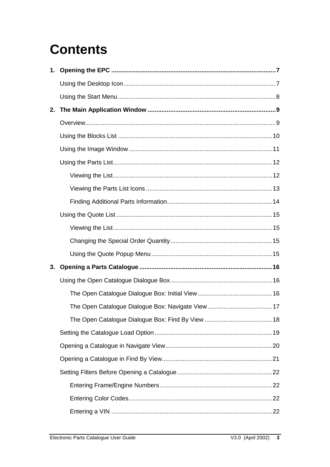# **Contents**

| 2. |  |
|----|--|
|    |  |
|    |  |
|    |  |
|    |  |
|    |  |
|    |  |
|    |  |
|    |  |
|    |  |
|    |  |
|    |  |
| 3. |  |
|    |  |
|    |  |
|    |  |
|    |  |
|    |  |
|    |  |
|    |  |
|    |  |
|    |  |
|    |  |
|    |  |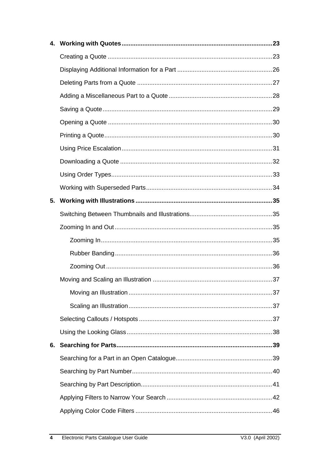| 4. |  |
|----|--|
|    |  |
|    |  |
|    |  |
|    |  |
|    |  |
|    |  |
|    |  |
|    |  |
|    |  |
|    |  |
|    |  |
| 5. |  |
|    |  |
|    |  |
|    |  |
|    |  |
|    |  |
|    |  |
|    |  |
|    |  |
|    |  |
|    |  |
| 6. |  |
|    |  |
|    |  |
|    |  |
|    |  |
|    |  |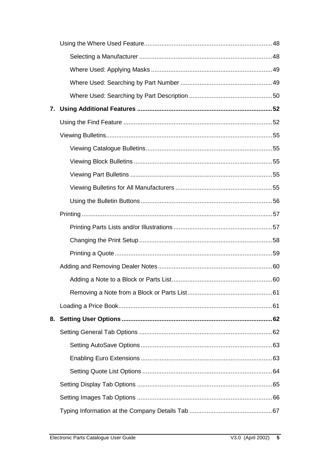| 7. |  |
|----|--|
|    |  |
|    |  |
|    |  |
|    |  |
|    |  |
|    |  |
|    |  |
|    |  |
|    |  |
|    |  |
|    |  |
|    |  |
|    |  |
|    |  |
|    |  |
| 8. |  |
|    |  |
|    |  |
|    |  |
|    |  |
|    |  |
|    |  |
|    |  |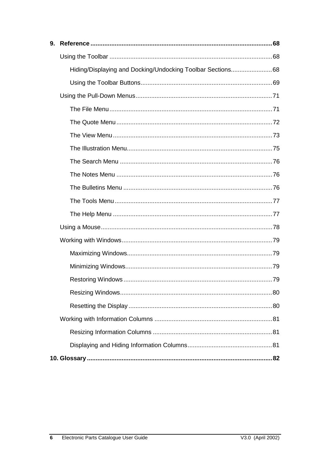| 9. |                                                            |  |
|----|------------------------------------------------------------|--|
|    |                                                            |  |
|    | Hiding/Displaying and Docking/Undocking Toolbar Sections68 |  |
|    |                                                            |  |
|    |                                                            |  |
|    |                                                            |  |
|    |                                                            |  |
|    |                                                            |  |
|    |                                                            |  |
|    |                                                            |  |
|    |                                                            |  |
|    |                                                            |  |
|    |                                                            |  |
|    |                                                            |  |
|    |                                                            |  |
|    |                                                            |  |
|    |                                                            |  |
|    |                                                            |  |
|    |                                                            |  |
|    |                                                            |  |
|    |                                                            |  |
|    |                                                            |  |
|    |                                                            |  |
|    |                                                            |  |
|    |                                                            |  |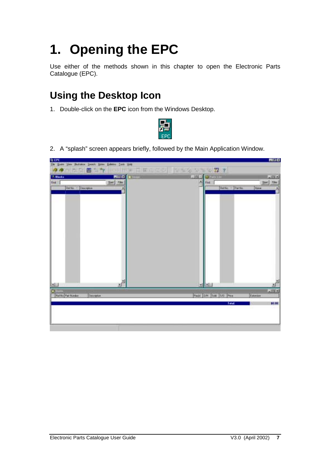# <span id="page-6-0"></span>**1. Opening the EPC**

Use either of the methods shown in this chapter to open the Electronic Parts Catalogue (EPC).

## **Using the Desktop Icon**

1. Double-click on the **EPC** icon from the Windows Desktop.



2. A "splash" screen appears briefly, followed by the Main Application Window.

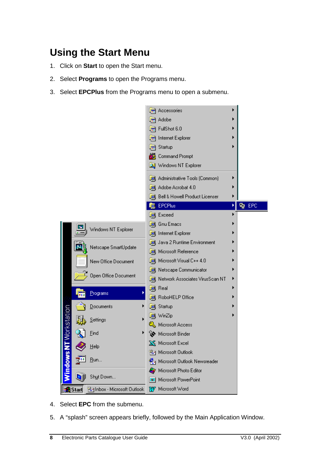## <span id="page-7-0"></span>**Using the Start Menu**

- 1. Click on **Start** to open the Start menu.
- 2. Select **Programs** to open the Programs menu.
- 3. Select **EPCPlus** from the Programs menu to open a submenu.



- 4. Select **EPC** from the submenu.
- 5. A "splash" screen appears briefly, followed by the Main Application Window.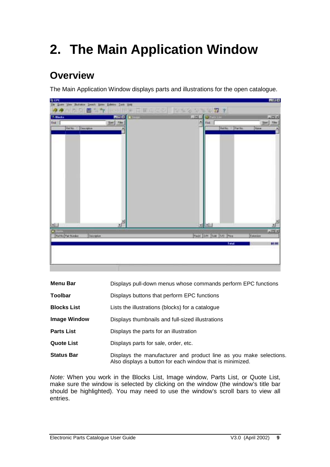# <span id="page-8-0"></span>**2. The Main Application Window**

### **Overview**

The Main Application Window displays parts and illustrations for the open catalogue.



| Menu Bar | Displays pull-down menus whose commands perform EPC functions |  |  |  |
|----------|---------------------------------------------------------------|--|--|--|
|----------|---------------------------------------------------------------|--|--|--|

- **Toolbar Displays buttons that perform EPC functions**
- **Blocks List** Lists the illustrations (blocks) for a catalogue
- **Image Window** Displays thumbnails and full-sized illustrations
- **Parts List** Displays the parts for an illustration
- **Quote List** Displays parts for sale, order, etc.
- **Status Bar** Displays the manufacturer and product line as you make selections. Also displays a button for each window that is minimized.

*Note:* When you work in the Blocks List, Image window, Parts List, or Quote List, make sure the window is selected by clicking on the window (the window's title bar should be highlighted). You may need to use the window's scroll bars to view all entries.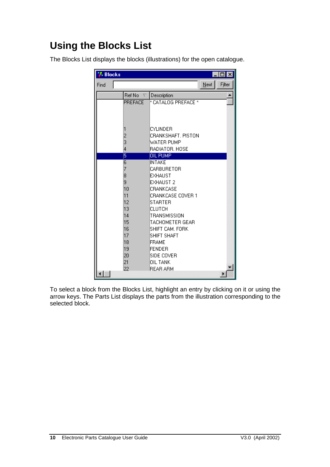## <span id="page-9-0"></span>**Using the Blocks List**

The Blocks List displays the blocks (illustrations) for the open catalogue.

| <b>A.</b> Blocks |                |                        |         | $\blacksquare$ $\blacksquare$ $\times$ |
|------------------|----------------|------------------------|---------|----------------------------------------|
| Find             |                |                        | $N$ ext | Filter                                 |
|                  | Ref No         | Description            |         |                                        |
|                  | <b>PREFACE</b> | * CATALOG PREFACE *    |         |                                        |
|                  |                |                        |         |                                        |
|                  |                |                        |         |                                        |
|                  | 1              | CYLINDER               |         |                                        |
|                  | $\overline{c}$ | CRANKSHAFT, PISTON     |         |                                        |
|                  | 3              | WATER PUMP             |         |                                        |
|                  | 4              | RADIATOR. HOSE         |         |                                        |
|                  | 5              | OIL PUMP               |         |                                        |
|                  | 6              | INTAKE.                |         |                                        |
|                  | 7              | CARBURETOR             |         |                                        |
|                  | 8              | EXHAUST                |         |                                        |
|                  | 9<br>10        | EXHAUST 2<br>CRANKCASE |         |                                        |
|                  | 11             | CRANKCASE COVER 1      |         |                                        |
|                  | 12             | STARTER                |         |                                        |
|                  | 13             | CLUTCH                 |         |                                        |
|                  | 14             | TRANSMISSION           |         |                                        |
|                  | 15             | TACHOMETER GEAR        |         |                                        |
|                  | 16             | SHIFT CAM. FORK        |         |                                        |
|                  | 17             | SHIFT SHAFT            |         |                                        |
|                  | 18             | FRAME                  |         |                                        |
|                  | 19             | FENDER                 |         |                                        |
|                  | 20<br>21       | SIDE COVER<br>OIL TANK |         |                                        |
|                  | 22             | BEAR ABM               |         |                                        |
|                  |                |                        |         |                                        |

To select a block from the Blocks List, highlight an entry by clicking on it or using the arrow keys. The Parts List displays the parts from the illustration corresponding to the selected block.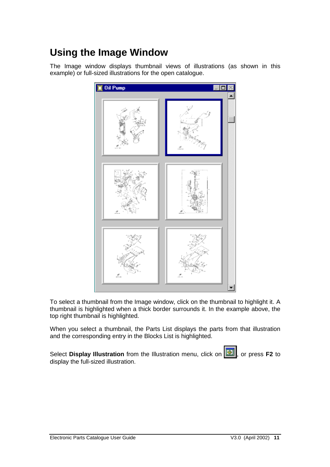### <span id="page-10-0"></span>**Using the Image Window**

The Image window displays thumbnail views of illustrations (as shown in this example) or full-sized illustrations for the open catalogue.



To select a thumbnail from the Image window, click on the thumbnail to highlight it. A thumbnail is highlighted when a thick border surrounds it. In the example above, the top right thumbnail is highlighted.

When you select a thumbnail, the Parts List displays the parts from that illustration and the corresponding entry in the Blocks List is highlighted.

Select **Display Illustration** from the Illustration menu, click on  $\boxed{ }$ , or press **F2** to display the full-sized illustration.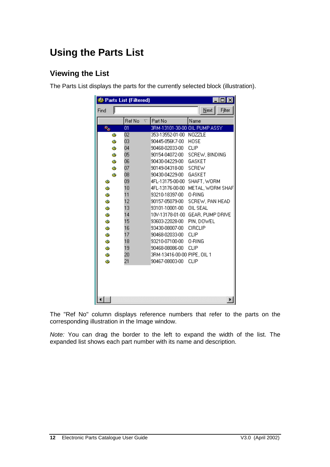## <span id="page-11-0"></span>**Using the Parts List**

#### **Viewing the List**

The Parts List displays the parts for the currently selected block (illustration).

| Parts List (Filtered)<br>$\Box$ $\times$ |     |                 |                               |                  |  |  |  |
|------------------------------------------|-----|-----------------|-------------------------------|------------------|--|--|--|
| Find                                     |     |                 |                               | Next<br>Filter   |  |  |  |
|                                          |     | Ref No          | Part No                       | Name             |  |  |  |
| 鬼                                        |     | 01              | 3RM-13101-30-00 OIL PUMP ASSY |                  |  |  |  |
|                                          | ¢ż. | $\overline{02}$ | 353-13552-01-00               | NOZZLE           |  |  |  |
|                                          | ¢.  | 03              | 90445-056K7-00                | <b>HOSE</b>      |  |  |  |
|                                          | Q.  | 04              | 90468-02033-00                | <b>CLIP</b>      |  |  |  |
|                                          | Q.  | 05              | 90154-04072-00                | SCREW, BINDING   |  |  |  |
|                                          | 42  | 06              | 90430-04229-00                | GASKET           |  |  |  |
|                                          | 42  | 07              | 90149-04318-00                | SCREW            |  |  |  |
|                                          | 42  | 08              | 90430-04229-00 .              | GASKET           |  |  |  |
| ø                                        |     | 09              | 4FL-13175-00-00               | SHAFT, WORM      |  |  |  |
| ø                                        |     | 10              | 4FL-13176-00-00               | METAL, WORM SHAF |  |  |  |
| ø                                        |     | 11              | 93210-18397-00 .              | 0-RING           |  |  |  |
| 42                                       |     | 12              | 90157-05079-00                | SCREW, PAN HEAD  |  |  |  |
| ¢.                                       |     | 13              | 93101-10001-00                | OIL SEAL         |  |  |  |
| ø                                        |     | 14              | 10V-13178-01-00 .             | GEAR, PUMP DRIVE |  |  |  |
| 42                                       |     | 15              | 93603-22028-00                | PIN. DOWEL       |  |  |  |
| ø                                        |     | 16              | 93430-08007-00                | <b>CIRCLIP</b>   |  |  |  |
| ¢.                                       |     | 17              | 90468-02033-00                | <b>CLIP</b>      |  |  |  |
| Ø                                        |     | 18              | 93210-07100-00                | 0-RING           |  |  |  |
| 42                                       |     | 19              | 90468-08086-00                | <b>CLIP</b>      |  |  |  |
| 62                                       |     | 20              | 3RM-13416-00-00 PIPE, OIL 1   |                  |  |  |  |
| 42                                       |     | 21              | 90467-08003-00                | <b>CLIP</b>      |  |  |  |
|                                          |     |                 |                               |                  |  |  |  |
|                                          |     |                 |                               |                  |  |  |  |
|                                          |     |                 |                               |                  |  |  |  |
|                                          |     |                 |                               |                  |  |  |  |
|                                          |     |                 |                               |                  |  |  |  |

The "Ref No" column displays reference numbers that refer to the parts on the corresponding illustration in the Image window.

*Note:* You can drag the border to the left to expand the width of the list. The expanded list shows each part number with its name and description.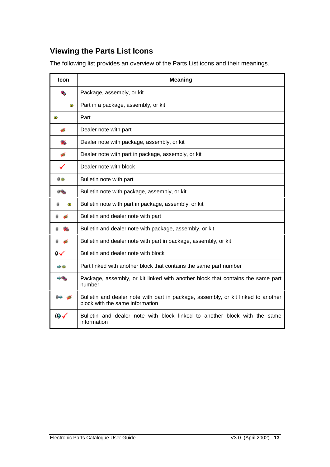#### <span id="page-12-0"></span>**Viewing the Parts List Icons**

The following list provides an overview of the Parts List icons and their meanings.

| Icon                    | <b>Meaning</b>                                                                                                       |
|-------------------------|----------------------------------------------------------------------------------------------------------------------|
| $\mathbf{Q}_\mathrm{p}$ | Package, assembly, or kit                                                                                            |
| Q.                      | Part in a package, assembly, or kit                                                                                  |
| œ.                      | Part                                                                                                                 |
|                         | Dealer note with part                                                                                                |
| æ.                      | Dealer note with package, assembly, or kit                                                                           |
| Æ                       | Dealer note with part in package, assembly, or kit                                                                   |
|                         | Dealer note with block                                                                                               |
| ū o                     | Bulletin note with part                                                                                              |
| <b>GM2.</b>             | Bulletin note with package, assembly, or kit                                                                         |
| 42                      | Bulletin note with part in package, assembly, or kit                                                                 |
|                         | Bulletin and dealer note with part                                                                                   |
|                         | Bulletin and dealer note with package, assembly, or kit                                                              |
|                         | Bulletin and dealer note with part in package, assembly, or kit                                                      |
| 0√                      | Bulletin and dealer note with block                                                                                  |
| <b>1965</b>             | Part linked with another block that contains the same part number                                                    |
| والأخراء                | Package, assembly, or kit linked with another block that contains the same part<br>number                            |
|                         | Bulletin and dealer note with part in package, assembly, or kit linked to another<br>block with the same information |
|                         | Bulletin and dealer note with block linked to another block with the same<br>information                             |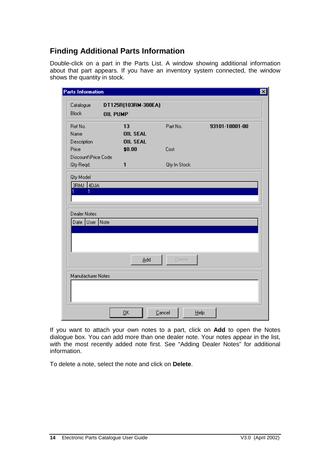#### <span id="page-13-0"></span>**Finding Additional Parts Information**

Double-click on a part in the Parts List. A window showing additional information about that part appears. If you have an inventory system connected, the window shows the quantity in stock.

| Catalogue<br><b>Block</b>      | DT125R(103RM-300EA)<br><b>OIL PUMP</b> |              |                |
|--------------------------------|----------------------------------------|--------------|----------------|
|                                |                                        |              |                |
| Ref No.                        | 13                                     | Part No.     | 93101-10001-00 |
| Name                           | <b>OIL SEAL</b>                        |              |                |
| Description                    | <b>OIL SEAL</b>                        |              |                |
| Price                          | \$0.00                                 | Cost         |                |
| Discount\Price Code            |                                        |              |                |
| Qty Regd.                      | 1                                      | Qty In Stock |                |
| Dealer Notes<br>Date User Note |                                        |              |                |
| Manufacturer Notes             | Add                                    | Delete       |                |
|                                |                                        |              |                |

If you want to attach your own notes to a part, click on **Add** to open the Notes dialogue box. You can add more than one dealer note. Your notes appear in the list, with the most recently added note first. See "Adding Dealer Notes" for additional information.

To delete a note, select the note and click on **Delete**.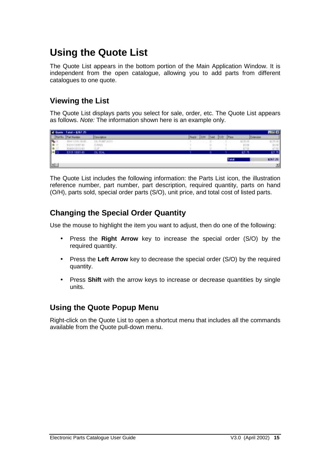## <span id="page-14-0"></span>**Using the Quote List**

The Quote List appears in the bottom portion of the Main Application Window. It is independent from the open catalogue, allowing you to add parts from different catalogues to one quote.

#### **Viewing the List**

The Quote List displays parts you select for sale, order, etc. The Quote List appears as follows. *Note:* The information shown here is an example only.



The Quote List includes the following information: the Parts List icon, the illustration reference number, part number, part description, required quantity, parts on hand (O/H), parts sold, special order parts (S/O), unit price, and total cost of listed parts.

#### **Changing the Special Order Quantity**

Use the mouse to highlight the item you want to adjust, then do one of the following:

- Press the **Right Arrow** key to increase the special order (S/O) by the required quantity.
- Press the **Left Arrow** key to decrease the special order (S/O) by the required quantity.
- Press **Shift** with the arrow keys to increase or decrease quantities by single units.

#### **Using the Quote Popup Menu**

Right-click on the Quote List to open a shortcut menu that includes all the commands available from the Quote pull-down menu.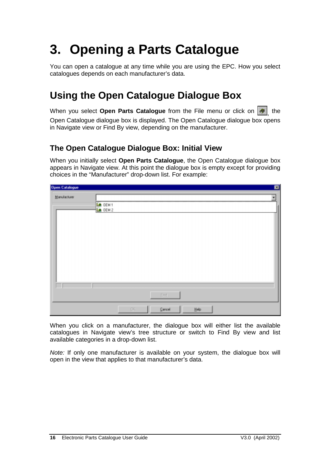## <span id="page-15-0"></span>**3. Opening a Parts Catalogue**

You can open a catalogue at any time while you are using the EPC. How you select catalogues depends on each manufacturer's data.

### **Using the Open Catalogue Dialogue Box**

When you select **Open Parts Catalogue** from the File menu or click on  $\boxed{\clubsuit}$  the Open Catalogue dialogue box is displayed. The Open Catalogue dialogue box opens in Navigate view or Find By view, depending on the manufacturer.

#### **The Open Catalogue Dialogue Box: Initial View**

When you initially select **Open Parts Catalogue**, the Open Catalogue dialogue box appears in Navigate view. At this point the dialogue box is empty except for providing choices in the "Manufacturer" drop-down list. For example:

| <b>Open Catalogue</b> |                                | 図                        |
|-----------------------|--------------------------------|--------------------------|
| Manufacturer          |                                | $\overline{\phantom{a}}$ |
|                       | LA DEM <sub>1</sub><br>LA DEM2 |                          |
|                       |                                |                          |
|                       |                                |                          |
|                       |                                |                          |
|                       |                                |                          |
|                       |                                |                          |
|                       |                                |                          |
|                       |                                |                          |
|                       |                                |                          |
|                       |                                |                          |
|                       |                                |                          |
|                       | End.                           |                          |
|                       |                                |                          |
|                       | DK.<br>Cancel<br>Help          |                          |

When you click on a manufacturer, the dialogue box will either list the available catalogues in Navigate view's tree structure or switch to Find By view and list available categories in a drop-down list.

*Note:* If only one manufacturer is available on your system, the dialogue box will open in the view that applies to that manufacturer's data.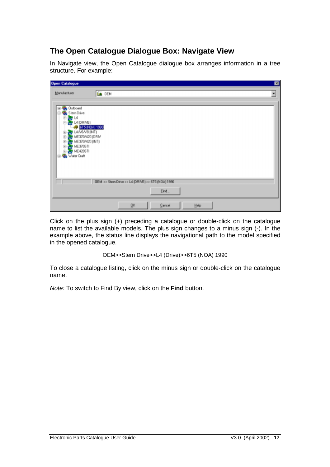#### <span id="page-16-0"></span>**The Open Catalogue Dialogue Box: Navigate View**

In Navigate view, the Open Catalogue dialogue box arranges information in a tree structure. For example:

| <b>Open Catalogue</b>                                                                                                                                                                     |                                                  | 図 |
|-------------------------------------------------------------------------------------------------------------------------------------------------------------------------------------------|--------------------------------------------------|---|
| Manufacturer                                                                                                                                                                              | LA DEM                                           | × |
| El- & Outboard<br>Stein Drive<br>⊝<br>AN LA<br>圧<br>L4 (DRIVE)<br>L4/V6/V8 (INT)<br>圧<br>隆<br>ME370/420 (INT)<br>曲<br><b>A</b> ME370STI<br>菌<br><b>A</b> ME 4206TI<br>由<br>El Water Craft | 6T5 (NOA) 1990<br>ME370/420 JDRIV                |   |
|                                                                                                                                                                                           | DEM >> StemDiive >> L4 (DRIVE) >> 6T5 (NOA) 1990 |   |
|                                                                                                                                                                                           | Find                                             |   |
|                                                                                                                                                                                           | QK<br>Cancel<br>Help                             |   |

Click on the plus sign (+) preceding a catalogue or double-click on the catalogue name to list the available models. The plus sign changes to a minus sign (-). In the example above, the status line displays the navigational path to the model specified in the opened catalogue.

OEM>>Stern Drive>>L4 (Drive)>>6T5 (NOA) 1990

To close a catalogue listing, click on the minus sign or double-click on the catalogue name.

*Note:* To switch to Find By view, click on the **Find** button.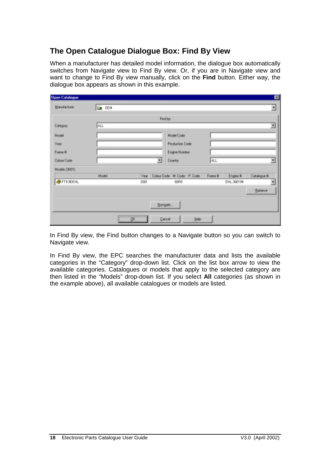#### <span id="page-17-0"></span>**The Open Catalogue Dialogue Box: Find By View**

When a manufacturer has detailed model information, the dialogue box automatically switches from Navigate view to Find By view. Or, if you are in Navigate view and want to change to Find By view manually, click on the **Find** button. Either way, the dialogue box appears as shown in this example.

| <b>Open Catalogue</b> |          |      |   |                             |          |            | 図            |
|-----------------------|----------|------|---|-----------------------------|----------|------------|--------------|
| Manufacturer          | LA DEM   |      |   |                             |          |            | ×            |
|                       | Find by: |      |   |                             |          |            |              |
| Category              | ALL      |      |   |                             |          |            | Ξ            |
| Model                 |          |      |   | Model Code                  |          |            |              |
| Year                  |          |      |   | <b>Production Code</b>      |          |            |              |
| Frame II              |          |      |   | Engine Number               |          |            |              |
| Colour Code           |          |      | 븨 | Country                     | ALL      |            | F            |
| Models (3001)         |          |      |   |                             |          |            |              |
|                       | Nodel    | Year |   | Colour Code N. Code P. Code | Frame II | Engine #   | Catalogue II |
| FT9.9DEHL             |          | 2001 |   | 66RO                        |          | EHL-300194 | ×            |
|                       |          |      |   |                             |          |            | Retrieve     |
|                       |          |      |   | Navigate                    |          |            |              |
|                       |          | QK   |   | Cancel<br>Help              |          |            |              |

In Find By view, the Find button changes to a Navigate button so you can switch to Navigate view.

In Find By view, the EPC searches the manufacturer data and lists the available categories in the "Category" drop-down list. Click on the list box arrow to view the available categories. Catalogues or models that apply to the selected category are then listed in the "Models" drop-down list. If you select **All** categories (as shown in the example above), all available catalogues or models are listed.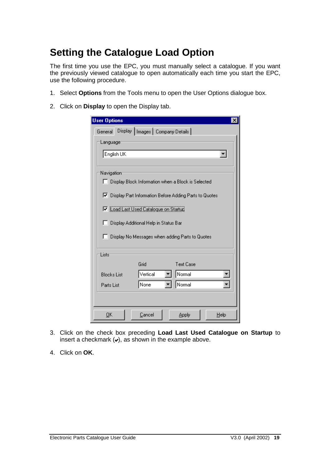### <span id="page-18-0"></span>**Setting the Catalogue Load Option**

The first time you use the EPC, you must manually select a catalogue. If you want the previously viewed catalogue to open automatically each time you start the EPC, use the following procedure.

- 1. Select **Options** from the Tools menu to open the User Options dialogue box.
- 2. Click on **Display** to open the Display tab.

| <b>User Options</b>                               |                                              |                                                          |      |  |  |
|---------------------------------------------------|----------------------------------------------|----------------------------------------------------------|------|--|--|
| Display   Images   Company Details  <br>General I |                                              |                                                          |      |  |  |
| Language <sup>.</sup>                             |                                              |                                                          |      |  |  |
| English UK                                        |                                              |                                                          |      |  |  |
|                                                   |                                              |                                                          |      |  |  |
| Navigation                                        |                                              |                                                          |      |  |  |
| L                                                 |                                              | Display Block Information when a Block is Selected       |      |  |  |
|                                                   |                                              | ○ Display Part Information Before Adding Parts to Quotes |      |  |  |
|                                                   | <b>▽</b> Load Last Used Catalogue on Startug |                                                          |      |  |  |
|                                                   |                                              |                                                          |      |  |  |
|                                                   | □ Display Additional Help in Status Bar      |                                                          |      |  |  |
|                                                   |                                              | □ Display No Messages when adding Parts to Quotes        |      |  |  |
|                                                   |                                              |                                                          |      |  |  |
| Lists                                             |                                              |                                                          |      |  |  |
|                                                   | Grid                                         | Text Case                                                |      |  |  |
| <b>Blocks List</b>                                | Vertical                                     | Normal                                                   |      |  |  |
| Parts List                                        | Normal<br>None                               |                                                          |      |  |  |
|                                                   |                                              |                                                          |      |  |  |
|                                                   |                                              |                                                          |      |  |  |
| QK                                                | Cancel                                       | Apply                                                    | Help |  |  |

- 3. Click on the check box preceding **Load Last Used Catalogue on Startup** to insert a checkmark  $(v)$ , as shown in the example above.
- 4. Click on **OK**.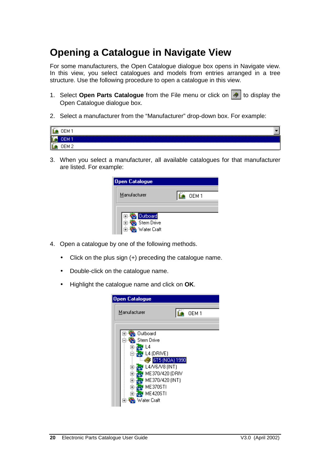### <span id="page-19-0"></span>**Opening a Catalogue in Navigate View**

For some manufacturers, the Open Catalogue dialogue box opens in Navigate view. In this view, you select catalogues and models from entries arranged in a tree structure. Use the following procedure to open a catalogue in this view.

- 1. Select **Open Parts Catalogue** from the File menu or click on **1** to display the Open Catalogue dialogue box.
- 2. Select a manufacturer from the "Manufacturer" drop-down box. For example:

| 1877                             | <b>ILA</b> DEM   |  |
|----------------------------------|------------------|--|
| ш.                               | OEM <sub>1</sub> |  |
| $-0.7$<br><b><i><u>A</u></i></b> | OEM 2            |  |

3. When you select a manufacturer, all available catalogues for that manufacturer are listed. For example:

| <b>Open Catalogue</b>                  |              |
|----------------------------------------|--------------|
| Manufacturer                           | OEM 1<br>--- |
| Outboard<br>Stern Drive<br>Water Craft |              |

- 4. Open a catalogue by one of the following methods.
	- Click on the plus sign (+) preceding the catalogue name.
	- Double-click on the catalogue name.
	- Highlight the catalogue name and click on **OK**.

| <b>Open Catalogue</b>                                                                                                                                    |                                                                                 |       |
|----------------------------------------------------------------------------------------------------------------------------------------------------------|---------------------------------------------------------------------------------|-------|
| Manufacturer                                                                                                                                             |                                                                                 | OEM 1 |
| Outboard<br>Stern Drive<br>I 4<br>Ė<br>L4 (DRIVE)<br>ţ<br>$\frac{1}{\frac{1}{\cdot}}$<br>Ė<br>ME370STI<br>Ė<br>ME420STI<br>$\overline{+}$<br>Water Craft | <b>3</b> 6T5 (NOA) 1990<br>L4/V6/V8 (INT)<br>ME370/420 (DRIV<br>ME370/420 (INT) |       |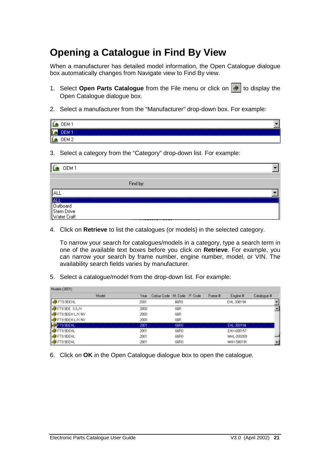### <span id="page-20-0"></span>**Opening a Catalogue in Find By View**

When a manufacturer has detailed model information, the Open Catalogue dialogue box automatically changes from Navigate view to Find By view.

- 1. Select **Open Parts Catalogue** from the File menu or click on **1** to display the Open Catalogue dialogue box.
- 2. Select a manufacturer from the "Manufacturer" drop-down box. For example:

|     | OEM1            |  |
|-----|-----------------|--|
|     | <b>14</b> OEM 1 |  |
| ĪΔ. | OEM 2           |  |

3. Select a category from the "Category" drop-down list. For example:

| OEM <sub>1</sub>                       |
|----------------------------------------|
| Find by:                               |
|                                        |
|                                        |
|                                        |
|                                        |
| Outboard<br>Stern Drive<br>Water Craft |

4. Click on **Retrieve** to list the catalogues (or models) in the selected category.

To narrow your search for catalogues/models in a category, type a search term in one of the available text boxes before you click on **Retrieve**. For example, you can narrow your search by frame number, engine number, model, or VIN. The availability search fields varies by manufacturer.

5. Select a catalogue/model from the drop-down list. For example:

| Models (3001)                |      |                                                  |            |             |
|------------------------------|------|--------------------------------------------------|------------|-------------|
| Model                        |      | Year   Colour Code   M. Code   P. Code   Frame # | Engine #   | Catalogue # |
| $\bigtriangledown$ FT9.9DEHL | 2001 | 66RO                                             | EHL-300194 |             |
| <b>SPETS SDE SALAY</b>       | 2000 | 66R                                              |            |             |
| <b>S</b> FT9.9DEH L/K NV     | 2000 | 66R                                              |            |             |
| <b>SPETS SDEH LAY NV</b>     | 2000 | 66R                                              |            |             |
| <b>SPFT9.9DEHL</b>           | 2001 | 66R0                                             | EHL-300194 |             |
| FT9.90EHL                    | 2001 | 66R0                                             | EHX-600157 |             |
| <b>OFFT9.9DEHL</b>           | 2001 | 66R0                                             | MHL-200289 |             |
| $\frac{4}{3}$ FT9.90 EHL     | 2001 | 66Ft0                                            | MHX-500191 |             |

6. Click on **OK** in the Open Catalogue dialogue box to open the catalogue.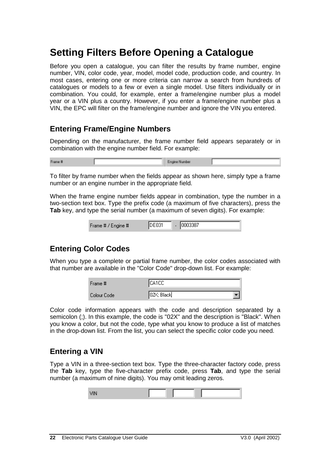### <span id="page-21-0"></span>**Setting Filters Before Opening a Catalogue**

Before you open a catalogue, you can filter the results by frame number, engine number, VIN, color code, year, model, model code, production code, and country. In most cases, entering one or more criteria can narrow a search from hundreds of catalogues or models to a few or even a single model. Use filters individually or in combination. You could, for example, enter a frame/engine number plus a model year or a VIN plus a country. However, if you enter a frame/engine number plus a VIN, the EPC will filter on the frame/engine number and ignore the VIN you entered.

#### **Entering Frame/Engine Numbers**

Depending on the manufacturer, the frame number field appears separately or in combination with the engine number field. For example:

| <b>Equipment</b> | m |  |
|------------------|---|--|
|------------------|---|--|

To filter by frame number when the fields appear as shown here, simply type a frame number or an engine number in the appropriate field.

When the frame engine number fields appear in combination, type the number in a two-section text box. Type the prefix code (a maximum of five characters), press the **Tab** key, and type the serial number (a maximum of seven digits). For example:

| Frame # / Engine # | IDE031 | 10003387 |  |
|--------------------|--------|----------|--|
|--------------------|--------|----------|--|

#### **Entering Color Codes**

When you type a complete or partial frame number, the color codes associated with that number are available in the "Color Code" drop-down list. For example:

| Frame #     | ICA1CC      |
|-------------|-------------|
| Colour Code | 102X; Black |

Color code information appears with the code and description separated by a semicolon (;). In this example, the code is "02X" and the description is "Black". When you know a color, but not the code, type what you know to produce a list of matches in the drop-down list. From the list, you can select the specific color code you need.

#### **Entering a VIN**

Type a VIN in a three-section text box. Type the three-character factory code, press the **Tab** key, type the five-character prefix code, press **Tab**, and type the serial number (a maximum of nine digits). You may omit leading zeros.

| <b>ZIKI</b> |  |
|-------------|--|
|-------------|--|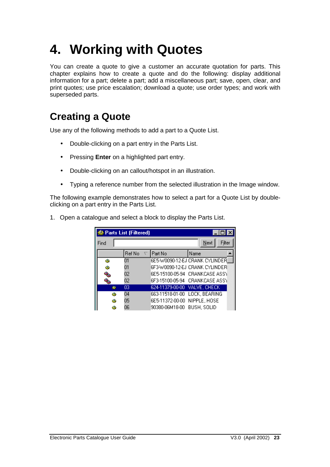## <span id="page-22-0"></span>**4. Working with Quotes**

You can create a quote to give a customer an accurate quotation for parts. This chapter explains how to create a quote and do the following: display additional information for a part; delete a part; add a miscellaneous part; save, open, clear, and print quotes; use price escalation; download a quote; use order types; and work with superseded parts.

## **Creating a Quote**

Use any of the following methods to add a part to a Quote List.

- Double-clicking on a part entry in the Parts List.
- Pressing **Enter** on a highlighted part entry.
- Double-clicking on an callout/hotspot in an illustration.
- Typing a reference number from the selected illustration in the Image window.

The following example demonstrates how to select a part for a Quote List by doubleclicking on a part entry in the Parts List.

1. Open a catalogue and select a block to display the Parts List.

|      | 縣 Parts List (Filtered) |                               |                                   |
|------|-------------------------|-------------------------------|-----------------------------------|
| Find |                         |                               | Filter<br>Next                    |
|      | Ref No                  | Part No                       | Name                              |
| 42   | N1                      |                               | 6E5-W0090-12-EJ CRANK CYLINDER    |
| 42   | 01                      |                               | ISF3-W0090-12-EJ CRANK CYLINDER   |
|      | 02                      |                               | BE5-15100-05-94 CRANKCASE ASSY    |
|      | 02                      |                               | ISE3-15100-05-94 - CRANKCASE ASSY |
| 办    | 03                      | 624-11379-00-00 VALVE, CHECK  |                                   |
| 42   | 04                      | 663-11518-01-00 LOCK, BEARING |                                   |
| 42   | 05                      | 6E5-11372-00-00 NIPPLE, HOSE  |                                   |
| ø    | 06                      | 90380-06M18-00                | BUSH, SOLID                       |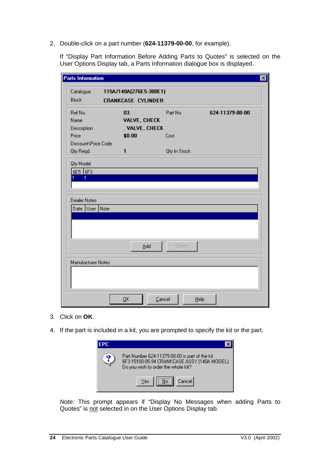2. Double-click on a part number (**624-11379-00-00**, for example).

If "Display Part Information Before Adding Parts to Quotes" is selected on the User Options Display tab, a Parts Information dialogue box is displayed.

| Catalogue           | 115A/140A(276E5-300E1)    |               |                 |
|---------------------|---------------------------|---------------|-----------------|
| <b>Block</b>        | <b>CRANKCASE CYLINDER</b> |               |                 |
| Ref No.             | 03                        | Part No.      | 624-11379-00-00 |
| Name                | <b>VALVE, CHECK</b>       |               |                 |
| Description         | . VALVE, CHECK            |               |                 |
| Price               | \$0.00                    | Cost          |                 |
| Discount\Price Code |                           |               |                 |
| Qty Regd.           | 1                         | Qty In Stock  |                 |
| Qty Model           |                           |               |                 |
| 6E5 6F3             |                           |               |                 |
|                     |                           |               |                 |
|                     |                           |               |                 |
|                     |                           |               |                 |
| Dealer Notes        |                           |               |                 |
| Date User Note      |                           |               |                 |
|                     |                           |               |                 |
|                     |                           |               |                 |
|                     |                           |               |                 |
|                     |                           |               |                 |
|                     | Add                       | <b>Delete</b> |                 |
|                     |                           |               |                 |
| Manufacturer Notes  |                           |               |                 |
|                     |                           |               |                 |
|                     |                           |               |                 |
|                     |                           |               |                 |

- 3. Click on **OK**.
- 4. If the part is included in a kit, you are prompted to specify the kit or the part.



*Note:* This prompt appears if "Display No Messages when adding Parts to Quotes" is not selected in on the User Options Display tab.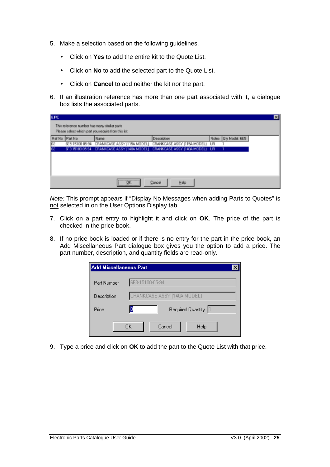- 5. Make a selection based on the following guidelines.
	- Click on **Yes** to add the entire kit to the Quote List.
	- Click on **No** to add the selected part to the Quote List.
	- Click on **Cancel** to add neither the kit nor the part.
- 6. If an illustration reference has more than one part associated with it, a dialogue box lists the associated parts.

| <b>EPC</b>     |                                                                                                     |                |       |                       |
|----------------|-----------------------------------------------------------------------------------------------------|----------------|-------|-----------------------|
|                | This reference number has many similar parts<br>Please select which part you require from this list |                |       |                       |
| Ref No Part No | Name                                                                                                | Description    | Notes | <b>Qly Model: EE5</b> |
| JOS            | 6E5-15100-05-94 CRANKCASE ASSY (115A MODEL) CRANKCASE ASSY (115A MODEL) UR                          |                |       |                       |
| īΦ             | 6F3-15100-05-94 CRANKCASE ASSY (140A MODEL) CRANKCASE ASSY (140A MODEL) UR                          |                |       |                       |
|                |                                                                                                     |                |       |                       |
|                |                                                                                                     |                |       |                       |
|                |                                                                                                     |                |       |                       |
|                |                                                                                                     |                |       |                       |
|                | <b>QK</b>                                                                                           | Cancel<br>Help |       |                       |

*Note:* This prompt appears if "Display No Messages when adding Parts to Quotes" is not selected in on the User Options Display tab.

- 7. Click on a part entry to highlight it and click on **OK**. The price of the part is checked in the price book.
- 8. If no price book is loaded or if there is no entry for the part in the price book, an Add Miscellaneous Part dialogue box gives you the option to add a price. The part number, description, and quantity fields are read-only.

| <b>Add Miscellaneous Part</b> |    |                             |
|-------------------------------|----|-----------------------------|
| Part Number                   |    | 6F3-15100-05-94             |
| Description                   |    | CRANKCASE ASSY (140A MODEL) |
| Price                         |    | Required Quantity  1        |
|                               | OΚ | Cancel<br>Help              |

9. Type a price and click on **OK** to add the part to the Quote List with that price.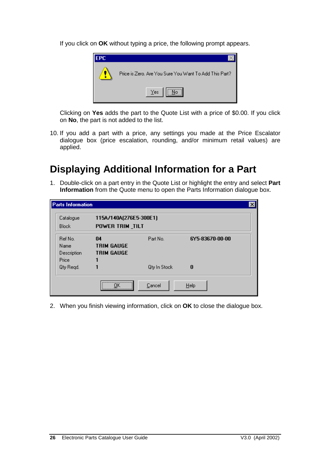<span id="page-25-0"></span>If you click on **OK** without typing a price, the following prompt appears.



Clicking on **Yes** adds the part to the Quote List with a price of \$0.00. If you click on **No**, the part is not added to the list.

10. If you add a part with a price, any settings you made at the Price Escalator dialogue box (price escalation, rounding, and/or minimum retail values) are applied.

### **Displaying Additional Information for a Part**

1. Double-click on a part entry in the Quote List or highlight the entry and select **Part Information** from the Quote menu to open the Parts Information dialogue box.

| Parts Information |                        |                 | ×               |  |  |  |  |
|-------------------|------------------------|-----------------|-----------------|--|--|--|--|
| Catalogue         | 115A/140A(276E5-300E1) |                 |                 |  |  |  |  |
| <b>Block</b>      |                        | POWER TRIM_TILT |                 |  |  |  |  |
| Ref No.           | 04                     | Part No.        | 675-83670-00-00 |  |  |  |  |
| Name              | <b>TRIM GAUGE</b>      |                 |                 |  |  |  |  |
| Description       | <b>TRIM GAUGE</b>      |                 |                 |  |  |  |  |
| Price             |                        |                 |                 |  |  |  |  |
| Qty Regd.         |                        | Qty In Stock    | $\bf{0}$        |  |  |  |  |
|                   | <br>ΠK                 | Cancel          | Help            |  |  |  |  |

2. When you finish viewing information, click on **OK** to close the dialogue box.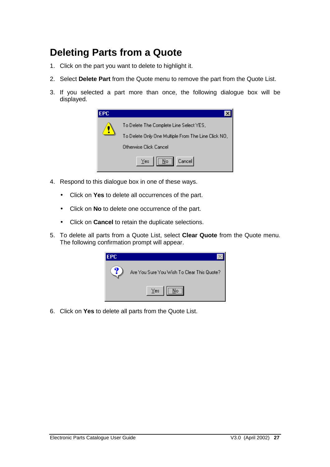### <span id="page-26-0"></span>**Deleting Parts from a Quote**

- 1. Click on the part you want to delete to highlight it.
- 2. Select **Delete Part** from the Quote menu to remove the part from the Quote List.
- 3. If you selected a part more than once, the following dialogue box will be displayed.

| EPC. |                                                     |
|------|-----------------------------------------------------|
|      | To Delete The Complete Line Select YES,             |
|      | To Delete Only One Multiple From The Line Click NO, |
|      | Otherwise Click Cancel                              |
|      | ,,,,,,,,,,,,,,,,<br>Cancel<br>Yes<br>No il          |

- 4. Respond to this dialogue box in one of these ways.
	- Click on **Yes** to delete all occurrences of the part.
	- Click on **No** to delete one occurrence of the part.
	- Click on **Cancel** to retain the duplicate selections.
- 5. To delete all parts from a Quote List, select **Clear Quote** from the Quote menu. The following confirmation prompt will appear.



6. Click on **Yes** to delete all parts from the Quote List.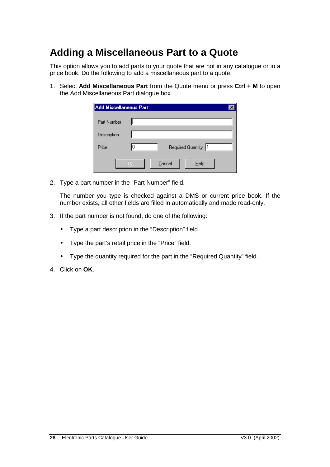### <span id="page-27-0"></span>**Adding a Miscellaneous Part to a Quote**

This option allows you to add parts to your quote that are not in any catalogue or in a price book. Do the following to add a miscellaneous part to a quote.

1. Select **Add Miscellaneous Part** from the Quote menu or press **Ctrl + M** to open the Add Miscellaneous Part dialogue box.

| <b>Add Miscellaneous Part</b> |                      |  |
|-------------------------------|----------------------|--|
| Part Number                   |                      |  |
| Description                   |                      |  |
| Price                         | Required Quantity  1 |  |
|                               | Cancel<br>Help       |  |

2. Type a part number in the "Part Number" field.

The number you type is checked against a DMS or current price book. If the number exists, all other fields are filled in automatically and made read-only.

- 3. If the part number is not found, do one of the following:
	- Type a part description in the "Description" field.
	- Type the part's retail price in the "Price" field.
	- Type the quantity required for the part in the "Required Quantity" field.
- 4. Click on **OK**.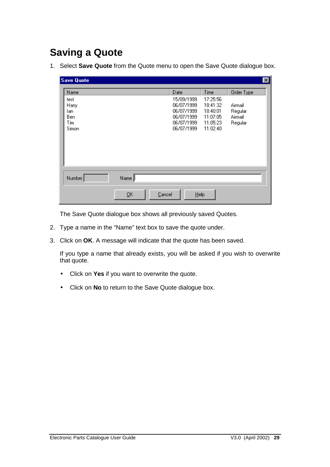## <span id="page-28-0"></span>**Saving a Quote**

1. Select **Save Quote** from the Quote menu to open the Save Quote dialogue box.

| <b>Save Quote</b>                            |                                     |                                                                                  |                                                                      | 区                                        |
|----------------------------------------------|-------------------------------------|----------------------------------------------------------------------------------|----------------------------------------------------------------------|------------------------------------------|
| Name                                         |                                     | Date                                                                             | Time                                                                 | Order Type                               |
| test<br>Harry<br>lan.<br>Ben<br>Tim<br>Simon |                                     | 15/09/1999<br>06/07/1999<br>06/07/1999<br>06/07/1999<br>06/07/1999<br>06/07/1999 | 17:25:56<br>18:41:32<br>18:40:01<br>11:07:05<br>11:05:23<br>11:02:40 | Airmail<br>Regular<br>Airmail<br>Regular |
| Number                                       | Name                                |                                                                                  |                                                                      |                                          |
|                                              | Cancel<br>$\overline{\mathsf{g}}$ K | $He$ lp                                                                          |                                                                      |                                          |

The Save Quote dialogue box shows all previously saved Quotes.

- 2. Type a name in the "Name" text box to save the quote under.
- 3. Click on **OK**. A message will indicate that the quote has been saved.

If you type a name that already exists, you will be asked if you wish to overwrite that quote.

- Click on **Yes** if you want to overwrite the quote.
- Click on **No** to return to the Save Quote dialogue box.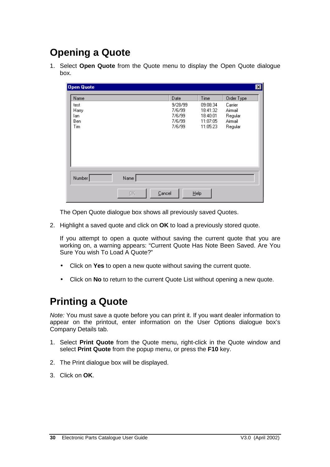### <span id="page-29-0"></span>**Opening a Quote**

1. Select **Open Quote** from the Quote menu to display the Open Quote dialogue box.

| Open Quote                         |            |        |                                                 |                                                          | 図                                                   |
|------------------------------------|------------|--------|-------------------------------------------------|----------------------------------------------------------|-----------------------------------------------------|
| Name                               |            |        | Date                                            | Time                                                     | Order Type                                          |
| test<br>Harry<br>lan<br>Ben<br>Tim |            |        | 9/28/99<br>7/6/99<br>7/6/99<br>7/6/99<br>7/6/99 | 09:08:34<br>18:41:32<br>18:40:01<br>11:07:05<br>11:05:23 | Carrier<br>Airmail<br>Regular<br>Airmail<br>Regular |
| Number                             | Name       |        |                                                 |                                                          |                                                     |
|                                    | <u>o</u> Ķ | Cancel | $He$ lp                                         |                                                          |                                                     |

The Open Quote dialogue box shows all previously saved Quotes.

2. Highlight a saved quote and click on **OK** to load a previously stored quote.

If you attempt to open a quote without saving the current quote that you are working on, a warning appears: "Current Quote Has Note Been Saved. Are You Sure You wish To Load A Quote?"

- Click on **Yes** to open a new quote without saving the current quote.
- Click on **No** to return to the current Quote List without opening a new quote.

#### **Printing a Quote**

*Note:* You must save a quote before you can print it. If you want dealer information to appear on the printout, enter information on the User Options dialogue box's Company Details tab.

- 1. Select **Print Quote** from the Quote menu, right-click in the Quote window and select **Print Quote** from the popup menu, or press the **F10** key.
- 2. The Print dialogue box will be displayed.
- 3. Click on **OK**.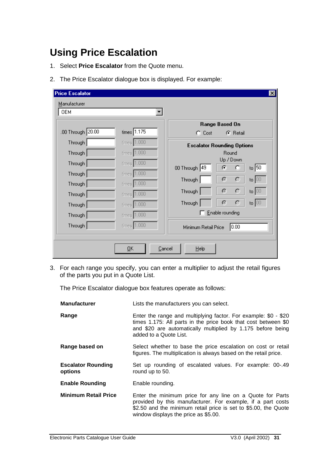### <span id="page-30-0"></span>**Using Price Escalation**

- 1. Select **Price Escalator** from the Quote menu.
- 2. The Price Escalator dialogue box is displayed. For example:

| <b>OEM</b>        |               |                                      |
|-------------------|---------------|--------------------------------------|
|                   |               | Range Based On                       |
| .00 Through 20.00 | $times$ 1.175 | $C$ Cost<br>C Retail                 |
| Through           | times 1.000   | <b>Escalator Rounding Options</b>    |
| Through           | times 1.000   | Round                                |
| Through           | times 1.000   | Up / Down<br>C                       |
| Through           | times 1.000   | to $ 50 $<br>00 Through 49           |
| Through           | times 1.000   | G,<br>C<br>to $ 00 $<br>Through      |
| Through           | times 1.000   | C<br>G,<br>to $ 00 $<br>Through      |
| Through           | times 1.000   | C<br>G<br>to $ 00$<br><b>Through</b> |
| Through           | times 1.000   | Enable rounding                      |
| Through           | times 1.000   | 0.00<br>Minimum Retail Price         |

3. For each range you specify, you can enter a multiplier to adjust the retail figures of the parts you put in a Quote List.

The Price Escalator dialogue box features operate as follows:

| <b>Manufacturer</b>                  | Lists the manufacturers you can select.                                                                                                                                                                                             |  |  |  |  |
|--------------------------------------|-------------------------------------------------------------------------------------------------------------------------------------------------------------------------------------------------------------------------------------|--|--|--|--|
| Range                                | Enter the range and multiplying factor. For example: \$0 - \$20<br>times 1.175: All parts in the price book that cost between \$0<br>and \$20 are automatically multiplied by 1.175 before being<br>added to a Quote List.          |  |  |  |  |
| Range based on                       | Select whether to base the price escalation on cost or retail<br>figures. The multiplication is always based on the retail price.                                                                                                   |  |  |  |  |
| <b>Escalator Rounding</b><br>options | Set up rounding of escalated values. For example: 00-.49<br>round up to 50.                                                                                                                                                         |  |  |  |  |
| <b>Enable Rounding</b>               | Enable rounding.                                                                                                                                                                                                                    |  |  |  |  |
| <b>Minimum Retail Price</b>          | Enter the minimum price for any line on a Quote for Parts<br>provided by this manufacturer. For example, if a part costs<br>\$2.50 and the minimum retail price is set to \$5.00, the Quote<br>window displays the price as \$5.00. |  |  |  |  |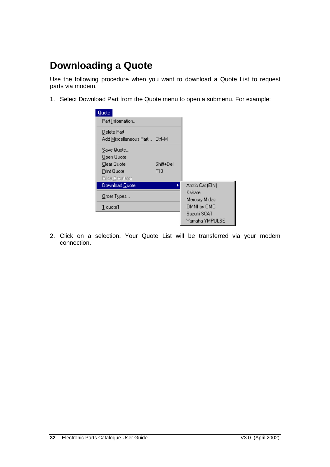### <span id="page-31-0"></span>**Downloading a Quote**

Use the following procedure when you want to download a Quote List to request parts via modem.

1. Select Download Part from the Quote menu to open a submenu. For example:

| Quote                                                                                         |                                              |
|-----------------------------------------------------------------------------------------------|----------------------------------------------|
| Part Information                                                                              |                                              |
| Delete Part<br>Add Miscellaneous Part Ctrl+M                                                  |                                              |
| Save Quote<br>Open Quote<br>Shift+Del<br>Clear Quote<br>F10<br>Print Quote<br>Price Escalator |                                              |
| Download Quote                                                                                | Arctic Cat (EIN)                             |
| Order Types                                                                                   | Kshare<br>Mercury Midas                      |
| $1$ quote1                                                                                    | OMNI by OMC<br>Suzuki SCAT<br>Yamaha YMPULSE |

2. Click on a selection. Your Quote List will be transferred via your modem connection.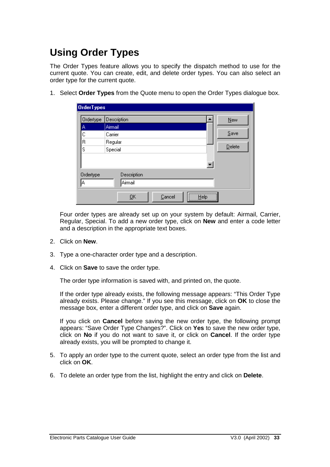### <span id="page-32-0"></span>**Using Order Types**

The Order Types feature allows you to specify the dispatch method to use for the current quote. You can create, edit, and delete order types. You can also select an order type for the current quote.

|  |  | 1. Select Order Types from the Quote menu to open the Order Types dialogue box. |  |  |  |  |  |  |
|--|--|---------------------------------------------------------------------------------|--|--|--|--|--|--|
|--|--|---------------------------------------------------------------------------------|--|--|--|--|--|--|

| <b>OrderTypes</b> |                |                              |  |  |  |  |  |
|-------------------|----------------|------------------------------|--|--|--|--|--|
|                   | Ordertype      | Description<br>New           |  |  |  |  |  |
|                   | A              | Airmail                      |  |  |  |  |  |
|                   | c              | Save<br>Carrier              |  |  |  |  |  |
|                   | $\overline{R}$ | Regular                      |  |  |  |  |  |
|                   | Ś              | Delete<br>Special            |  |  |  |  |  |
|                   |                |                              |  |  |  |  |  |
|                   |                |                              |  |  |  |  |  |
|                   | Ordertype      | Description                  |  |  |  |  |  |
|                   | ļΑ             | Airmail                      |  |  |  |  |  |
|                   |                | <br>ŪΚ<br>Cancel<br>Help<br> |  |  |  |  |  |

Four order types are already set up on your system by default: Airmail, Carrier, Regular, Special. To add a new order type, click on **New** and enter a code letter and a description in the appropriate text boxes.

- 2. Click on **New**.
- 3. Type a one-character order type and a description.
- 4. Click on **Save** to save the order type.

The order type information is saved with, and printed on, the quote.

If the order type already exists, the following message appears: "This Order Type already exists. Please change." If you see this message, click on **OK** to close the message box, enter a different order type, and click on **Save** again.

If you click on **Cancel** before saving the new order type, the following prompt appears: "Save Order Type Changes?". Click on **Yes** to save the new order type, click on **No** if you do not want to save it, or click on **Cancel**. If the order type already exists, you will be prompted to change it.

- 5. To apply an order type to the current quote, select an order type from the list and click on **OK**.
- 6. To delete an order type from the list, highlight the entry and click on **Delete**.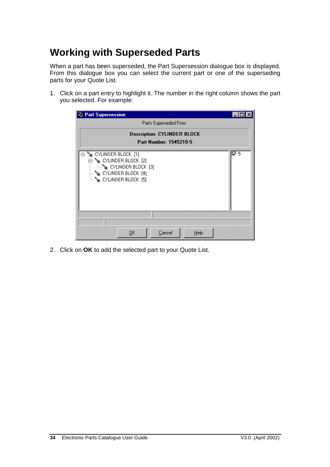### <span id="page-33-0"></span>**Working with Superseded Parts**

When a part has been superseded, the Part Supersession dialogue box is displayed. From this dialogue box you can select the current part or one of the superseding parts for your Quote List.

1. Click on a part entry to highlight it. The number in the right column shows the part you selected. For example:

| <b>Part Supersession</b>                                                                                                          |      |
|-----------------------------------------------------------------------------------------------------------------------------------|------|
| Parts Superseded From                                                                                                             |      |
| <b>Description: CYLINDER BLOCK</b>                                                                                                |      |
| <b>Part Number: 1545210-5</b>                                                                                                     |      |
| ि CYLINDER BLOCK [1]<br>ட்⊸∿ CYLINDER BLOCK [2]<br>ं—े °े CYLINDER BLOCK [3]<br>ि देख CYLINDER BLOCK [4]<br>్మ CYLINDER BLOCK [5] | 1⊽ 5 |
|                                                                                                                                   |      |
| Cancel<br>$\overline{\mathsf{U}}$ K<br>Help                                                                                       |      |

2. Click on **OK** to add the selected part to your Quote List.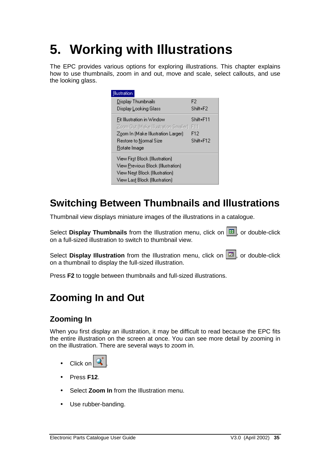# <span id="page-34-0"></span>**5. Working with Illustrations**

The EPC provides various options for exploring illustrations. This chapter explains how to use thumbnails, zoom in and out, move and scale, select callouts, and use the looking glass.

| <b>Illustration</b>                    |                |  |
|----------------------------------------|----------------|--|
| Display Thumbnails                     | F <sub>2</sub> |  |
| Display Looking Glass                  | Shift+F2       |  |
| Fit Illustration in Window             | Shift+F11      |  |
| Zoom Out (Make Illustration Smaller)   | F11            |  |
| Zoom In (Make Illustration Larger)     | F12            |  |
| Restore to Normal Size                 | Shift+F12      |  |
| Rotate Image                           |                |  |
| View First Block (Illustration)        |                |  |
| View Previous Block (Illustration)     |                |  |
| View Next Block (Illustration)         |                |  |
| View Las <u>t</u> Block (Illustration) |                |  |

### **Switching Between Thumbnails and Illustrations**

Thumbnail view displays miniature images of the illustrations in a catalogue.

Select **Display Thumbnails** from the Illustration menu, click on  $\boxed{H}$ , or double-click on a full-sized illustration to switch to thumbnail view.

Select **Display Illustration** from the Illustration menu, click on  $\|\mathbf{Z}\|$ , or double-click on a thumbnail to display the full-sized illustration.

Press **F2** to toggle between thumbnails and full-sized illustrations.

## **Zooming In and Out**

#### **Zooming In**

When you first display an illustration, it may be difficult to read because the EPC fits the entire illustration on the screen at once. You can see more detail by zooming in on the illustration. There are several ways to zoom in.

- Click on  $\mathbb{Q}$
- Press **F12**.
- Select **Zoom In** from the Illustration menu.
- Use rubber-banding.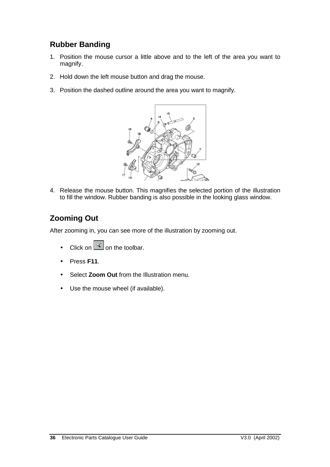#### <span id="page-35-0"></span>**Rubber Banding**

- 1. Position the mouse cursor a little above and to the left of the area you want to magnify.
- 2. Hold down the left mouse button and drag the mouse.
- 3. Position the dashed outline around the area you want to magnify.



4. Release the mouse button. This magnifies the selected portion of the illustration to fill the window. Rubber banding is also possible in the looking glass window.

#### **Zooming Out**

After zooming in, you can see more of the illustration by zooming out.

- Click on  $\boxed{4}$  on the toolbar.
- Press **F11**.
- Select **Zoom Out** from the Illustration menu.
- Use the mouse wheel (if available).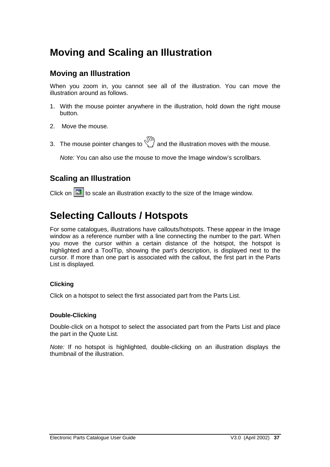### **Moving and Scaling an Illustration**

#### **Moving an Illustration**

When you zoom in, you cannot see all of the illustration. You can move the illustration around as follows.

- 1. With the mouse pointer anywhere in the illustration, hold down the right mouse button.
- 2. Move the mouse.
- 3. The mouse pointer changes to  $\sqrt[3]{\binom{3}{2}}$  and the illustration moves with the mouse.

*Note:* You can also use the mouse to move the Image window's scrollbars.

### **Scaling an Illustration**

Click on  $\boxed{2}$  to scale an illustration exactly to the size of the Image window.

### **Selecting Callouts / Hotspots**

For some catalogues, illustrations have callouts/hotspots. These appear in the Image window as a reference number with a line connecting the number to the part. When you move the cursor within a certain distance of the hotspot, the hotspot is highlighted and a ToolTip, showing the part's description, is displayed next to the cursor. If more than one part is associated with the callout, the first part in the Parts List is displayed.

#### **Clicking**

Click on a hotspot to select the first associated part from the Parts List.

#### **Double-Clicking**

Double-click on a hotspot to select the associated part from the Parts List and place the part in the Quote List.

*Note:* If no hotspot is highlighted, double-clicking on an illustration displays the thumbnail of the illustration.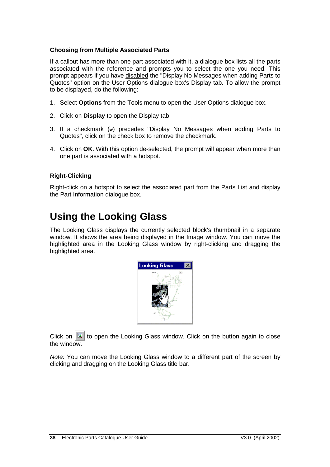#### **Choosing from Multiple Associated Parts**

If a callout has more than one part associated with it, a dialogue box lists all the parts associated with the reference and prompts you to select the one you need. This prompt appears if you have disabled the "Display No Messages when adding Parts to Quotes" option on the User Options dialogue box's Display tab. To allow the prompt to be displayed, do the following:

- 1. Select **Options** from the Tools menu to open the User Options dialogue box.
- 2. Click on **Display** to open the Display tab.
- 3. If a checkmark  $(v)$  precedes "Display No Messages when adding Parts to Quotes", click on the check box to remove the checkmark.
- 4. Click on **OK**. With this option de-selected, the prompt will appear when more than one part is associated with a hotspot.

#### **Right-Clicking**

Right-click on a hotspot to select the associated part from the Parts List and display the Part Information dialogue box.

### **Using the Looking Glass**

The Looking Glass displays the currently selected block's thumbnail in a separate window. It shows the area being displayed in the Image window. You can move the highlighted area in the Looking Glass window by right-clicking and dragging the highlighted area.



Click on  $\boxed{3}$  to open the Looking Glass window. Click on the button again to close the window.

*Note:* You can move the Looking Glass window to a different part of the screen by clicking and dragging on the Looking Glass title bar.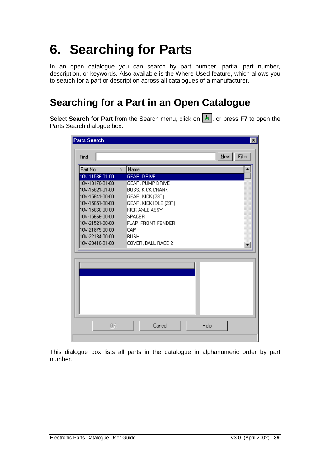# **6. Searching for Parts**

In an open catalogue you can search by part number, partial part number, description, or keywords. Also available is the Where Used feature, which allows you to search for a part or description across all catalogues of a manufacturer.

### **Searching for a Part in an Open Catalogue**

Select **Search for Part** from the Search menu, click on  $\boxed{4}$ , or press F7 to open the Parts Search dialogue box.

| Find<br>Part No<br>τ<br>10V-11536-01-00<br>10V-13178-01-00<br>10V-15621-01-00<br>10V-15641-00-00<br>10V-15651-00-00<br>10V-15660-00-00<br>10V-15666-00-00<br>10V-21521-00-00 | Name<br>GEAR, DRIVE<br>GEAR, PUMP DRIVE<br>BOSS, KICK CRANK<br>GEAR, KICK (23T)<br>GEAR, KICK IDLE (29T)<br>KICK AXLE ASSY<br><b>SPACER</b><br>FLAP, FRONT FENDER<br>CAP |      | $N$ ext | Filter |
|------------------------------------------------------------------------------------------------------------------------------------------------------------------------------|--------------------------------------------------------------------------------------------------------------------------------------------------------------------------|------|---------|--------|
|                                                                                                                                                                              |                                                                                                                                                                          |      |         |        |
|                                                                                                                                                                              |                                                                                                                                                                          |      |         |        |
|                                                                                                                                                                              |                                                                                                                                                                          |      |         |        |
|                                                                                                                                                                              |                                                                                                                                                                          |      |         |        |
|                                                                                                                                                                              |                                                                                                                                                                          |      |         |        |
|                                                                                                                                                                              |                                                                                                                                                                          |      |         |        |
|                                                                                                                                                                              |                                                                                                                                                                          |      |         |        |
|                                                                                                                                                                              |                                                                                                                                                                          |      |         |        |
|                                                                                                                                                                              |                                                                                                                                                                          |      |         |        |
|                                                                                                                                                                              |                                                                                                                                                                          |      |         |        |
| 10V-21875-00-00                                                                                                                                                              |                                                                                                                                                                          |      |         |        |
| 10V-22184-00-00                                                                                                                                                              | BUSH                                                                                                                                                                     |      |         |        |
| 10V-23416-01-00                                                                                                                                                              | COVER, BALL RACE 2                                                                                                                                                       |      |         |        |
|                                                                                                                                                                              |                                                                                                                                                                          |      |         |        |
|                                                                                                                                                                              |                                                                                                                                                                          |      |         |        |
|                                                                                                                                                                              |                                                                                                                                                                          |      |         |        |
|                                                                                                                                                                              |                                                                                                                                                                          |      |         |        |
|                                                                                                                                                                              |                                                                                                                                                                          |      |         |        |
|                                                                                                                                                                              |                                                                                                                                                                          |      |         |        |
|                                                                                                                                                                              |                                                                                                                                                                          |      |         |        |
|                                                                                                                                                                              |                                                                                                                                                                          |      |         |        |
|                                                                                                                                                                              |                                                                                                                                                                          |      |         |        |
|                                                                                                                                                                              |                                                                                                                                                                          |      |         |        |
|                                                                                                                                                                              |                                                                                                                                                                          |      |         |        |
| ŪΚ.                                                                                                                                                                          | Cancel                                                                                                                                                                   | Help |         |        |
|                                                                                                                                                                              |                                                                                                                                                                          |      |         |        |

This dialogue box lists all parts in the catalogue in alphanumeric order by part number.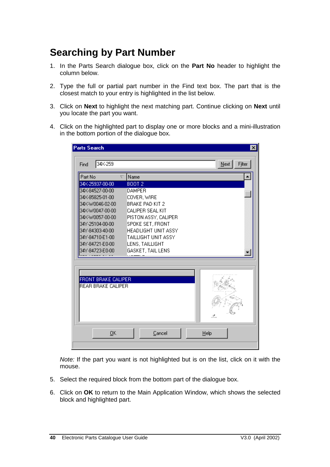## **Searching by Part Number**

- 1. In the Parts Search dialogue box, click on the **Part No** header to highlight the column below.
- 2. Type the full or partial part number in the Find text box. The part that is the closest match to your entry is highlighted in the list below.
- 3. Click on **Next** to highlight the next matching part. Continue clicking on **Next** until you locate the part you want.
- 4. Click on the highlighted part to display one or more blocks and a mini-illustration in the bottom portion of the dialogue box.

| <b>Parts Search</b>                                                                                                                                                                       | 図                                                                                                                                                                                             |
|-------------------------------------------------------------------------------------------------------------------------------------------------------------------------------------------|-----------------------------------------------------------------------------------------------------------------------------------------------------------------------------------------------|
| 34×259<br>Find                                                                                                                                                                            | $N$ ext Filter                                                                                                                                                                                |
| Part No                                                                                                                                                                                   | Name                                                                                                                                                                                          |
| 34X-25937-00-00<br>34×84527-00-00<br>34X-85825-01-00<br>34×-W0046-02-00<br>34×-W0047-00-00<br>34×-W0057-00-00<br>34Y-25104-00-00<br>34Y-84303-40-00<br>34Y-84710-E1-00<br>34Y-84721-E0-00 | <b>BOOT 2</b><br>DAMPER.<br>COVER, WIRE<br>BRAKE PAD KIT 2<br>CALIPER SEAL KIT<br>PISTON ASSY, CALIPER<br>SPOKE SET, FRONT<br>HEADLIGHT UNIT ASSY.<br>ITAILLIGHT UNIT ASSY<br>LENS, TAILLIGHT |
| 34Y-84723-E0-00<br>FRONT BRAKE CALIPER<br><b>REAR BRAKE CALIPER</b>                                                                                                                       | GASKET, TAIL LENS                                                                                                                                                                             |
| QK                                                                                                                                                                                        | ż.<br>Cancel<br>Help                                                                                                                                                                          |
|                                                                                                                                                                                           |                                                                                                                                                                                               |

*Note:* If the part you want is not highlighted but is on the list, click on it with the mouse.

- 5. Select the required block from the bottom part of the dialogue box.
- 6. Click on **OK** to return to the Main Application Window, which shows the selected block and highlighted part.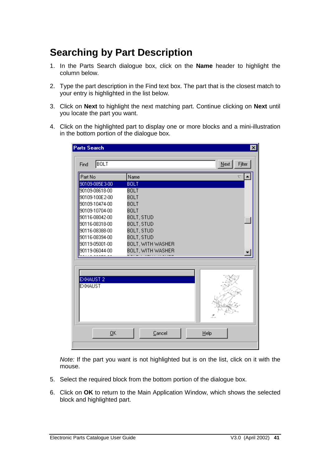## **Searching by Part Description**

- 1. In the Parts Search dialogue box, click on the **Name** header to highlight the column below.
- 2. Type the part description in the Find text box. The part that is the closest match to your entry is highlighted in the list below.
- 3. Click on **Next** to highlight the next matching part. Continue clicking on **Next** until you locate the part you want.
- 4. Click on the highlighted part to display one or more blocks and a mini-illustration in the bottom portion of the dialogue box.

| <b>Parts Search</b> |             |                   |         | $\mathbf{x}$ |
|---------------------|-------------|-------------------|---------|--------------|
| <b>BOLT</b><br>Find |             |                   | $N$ ext | Filter       |
| Part No             | Name        |                   |         |              |
| 90109-085E3-00      | <b>BOLT</b> |                   |         |              |
| 90109-08618-00      | <b>BOLT</b> |                   |         |              |
| 90109-100E2-00      | <b>BOLT</b> |                   |         |              |
| 90109-10474-00      | <b>BOLT</b> |                   |         |              |
| 90109-10704-00      | <b>BOLT</b> |                   |         |              |
| 90116-08042-00      |             | BOLT, STUD        |         |              |
| 90116-08318-00      |             | BOLT, STUD        |         |              |
| 90116-08388-00      |             | BOLT, STUD        |         |              |
| 90116-08394-00      |             | BOLT, STUD        |         |              |
| 90119-05001-00      |             | BOLT, WITH WASHER |         |              |
| 90119-06044-00      |             | BOLT, WITH WASHER |         |              |
|                     |             |                   |         |              |
|                     |             |                   |         |              |
| <b>EXHAUST 2</b>    |             |                   |         |              |
| <b>EXHAUST</b>      |             |                   |         |              |
|                     |             |                   |         |              |
|                     |             |                   |         |              |
|                     |             |                   |         |              |
|                     |             |                   |         |              |
|                     | QK          | Cancel            | $He$ lp |              |
|                     |             |                   |         |              |
|                     |             |                   |         |              |

*Note:* If the part you want is not highlighted but is on the list, click on it with the mouse.

- 5. Select the required block from the bottom portion of the dialogue box.
- 6. Click on **OK** to return to the Main Application Window, which shows the selected block and highlighted part.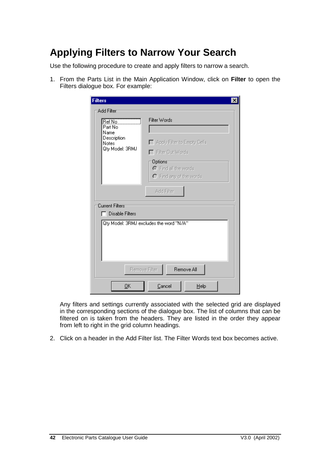## **Applying Filters to Narrow Your Search**

Use the following procedure to create and apply filters to narrow a search.

1. From the Parts List in the Main Application Window, click on **Filter** to open the Filters dialogue box. For example:

| Add Filter                                                            | Filter Words                            |
|-----------------------------------------------------------------------|-----------------------------------------|
| Ref No<br>Part No.<br>Name<br>Description<br>Notes<br>Qty Model: 3RMJ |                                         |
|                                                                       | $\Box$ Apply Filter to Empty Cells<br>г |
|                                                                       | Filter Out Words                        |
|                                                                       | <b>Options</b><br>C Find all the words  |
|                                                                       | $\bigcap$ Find any of the words         |
|                                                                       | Add Filter                              |
|                                                                       |                                         |
|                                                                       |                                         |
| <b>Current Filters</b><br><b>Disable Filters</b>                      |                                         |
|                                                                       | Qty Model: 3RMJ excludes the word "N/A" |
|                                                                       |                                         |
|                                                                       |                                         |
|                                                                       |                                         |
|                                                                       | Remove All<br>Remove Filter             |

Any filters and settings currently associated with the selected grid are displayed in the corresponding sections of the dialogue box. The list of columns that can be filtered on is taken from the headers. They are listed in the order they appear from left to right in the grid column headings.

2. Click on a header in the Add Filter list. The Filter Words text box becomes active.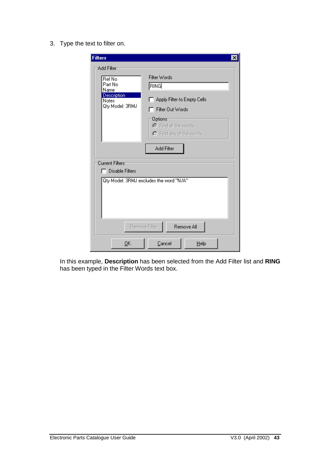3. Type the text to filter on.

| <b>Filters</b>                                                                                          |                                                                                                                    |  |
|---------------------------------------------------------------------------------------------------------|--------------------------------------------------------------------------------------------------------------------|--|
| Add Filter                                                                                              |                                                                                                                    |  |
| Ref No<br>Part No<br>Name<br>Description<br>Notes<br>Qty Model: 3RMJ                                    | Filter Words<br><b>RING</b><br>Apply Filter to Empty Cells<br>Filter Out Words<br>:Options<br>C Find all the words |  |
| $\bigcap$ Find any of the words<br><b>Add Filter</b><br>Current Filters <sup>-</sup><br>Disable Filters |                                                                                                                    |  |
| Qty Model: 3RMJ excludes the word "N/A"                                                                 |                                                                                                                    |  |
|                                                                                                         | Remove All<br>Remove Filter                                                                                        |  |
| <b>OK</b>                                                                                               | Cancel<br>Help                                                                                                     |  |

In this example, **Description** has been selected from the Add Filter list and **RING** has been typed in the Filter Words text box.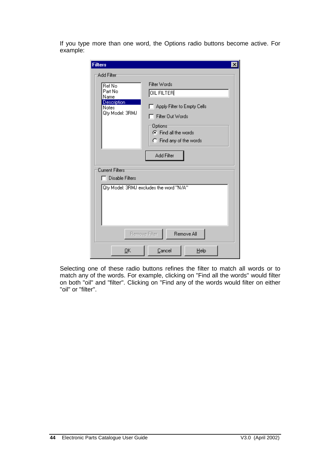If you type more than one word, the Options radio buttons become active. For example:

| <b>Filters</b>                                  | $\boldsymbol{\mathsf{x}}$                    |  |
|-------------------------------------------------|----------------------------------------------|--|
| Add Filter                                      |                                              |  |
| Ref No<br>Part No                               | Filter Words<br>OIL FILTER                   |  |
| Name<br>Description<br>Notes<br>Qty Model: 3RMJ | Apply Filter to Empty Cells                  |  |
|                                                 | Filter Out Words                             |  |
|                                                 | Options <sup>-</sup><br>◯ Find all the words |  |
|                                                 | C Find any of the words                      |  |
| Add Filter                                      |                                              |  |
| Current Filters:                                |                                              |  |
| $\Box$ Disable Filters                          |                                              |  |
| Qty Model: 3RMJ excludes the word "N/A"         |                                              |  |
|                                                 | Remove All<br>Remove Filter                  |  |
| QK                                              | Cancel<br>Help                               |  |

Selecting one of these radio buttons refines the filter to match all words or to match any of the words. For example, clicking on "Find all the words" would filter on both "oil" and "filter". Clicking on "Find any of the words would filter on either "oil" or "filter".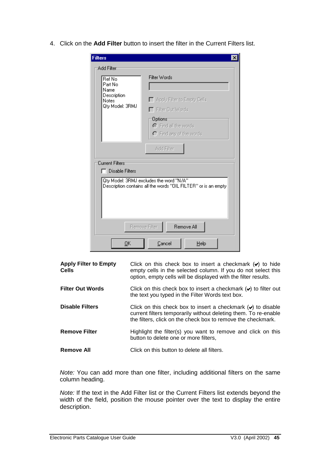4. Click on the **Add Filter** button to insert the filter in the Current Filters list.

| <b>Filters</b>                                                        | $\times$                                                                                                                                               |
|-----------------------------------------------------------------------|--------------------------------------------------------------------------------------------------------------------------------------------------------|
| Add Filter                                                            |                                                                                                                                                        |
| Ref No<br>Part No.<br>Name<br>Description<br>Notes<br>Qty Model: 3RMJ | Filter Words<br>Apply Filter to Empty Cells<br>$\Box$ Filter Out Words<br><b>Options</b><br>C Find all the words<br>$\bigcap$ Find any of the words    |
| :Current Filters<br><b>Disable Filters</b>                            | Add Filter<br>Qty Model: 3RMJ excludes the word "N/A"<br>Description contains all the words "OIL FILTER" or is an empty<br>Remove All<br>Remove Filter |
| QK                                                                    | Cancel<br>Help                                                                                                                                         |

| <b>Apply Filter to Empty</b><br><b>Cells</b> | Click on this check box to insert a checkmark $(v)$ to hide<br>empty cells in the selected column. If you do not select this<br>option, empty cells will be displayed with the filter results.    |
|----------------------------------------------|---------------------------------------------------------------------------------------------------------------------------------------------------------------------------------------------------|
| <b>Filter Out Words</b>                      | Click on this check box to insert a checkmark $(v)$ to filter out<br>the text you typed in the Filter Words text box.                                                                             |
| <b>Disable Filters</b>                       | Click on this check box to insert a checkmark $(v)$ to disable<br>current filters temporarily without deleting them. To re-enable<br>the filters, click on the check box to remove the checkmark. |
| <b>Remove Filter</b>                         | Highlight the filter(s) you want to remove and click on this<br>button to delete one or more filters,                                                                                             |
| <b>Remove All</b>                            | Click on this button to delete all filters.                                                                                                                                                       |

*Note:* You can add more than one filter, including additional filters on the same column heading.

*Note:* If the text in the Add Filter list or the Current Filters list extends beyond the width of the field, position the mouse pointer over the text to display the entire description.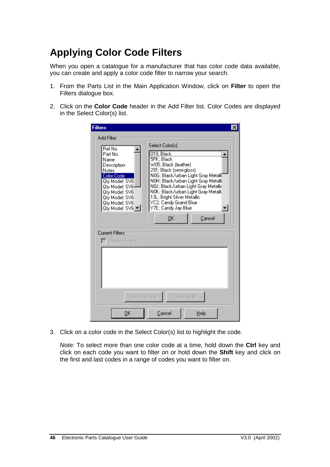## **Applying Color Code Filters**

When you open a catalogue for a manufacturer that has color code data available, you can create and apply a color code filter to narrow your search.

- 1. From the Parts List in the Main Application Window, click on **Filter** to open the Filters dialogue box.
- 2. Click on the **Color Code** header in the Add Filter list. Color Codes are displayed in the Select Color(s) list.

| <b>Filters</b>                                                                                                                                                                               |                                                                                                                                                                               |                                                                                                                                                           |
|----------------------------------------------------------------------------------------------------------------------------------------------------------------------------------------------|-------------------------------------------------------------------------------------------------------------------------------------------------------------------------------|-----------------------------------------------------------------------------------------------------------------------------------------------------------|
| Add Filter<br>Bef No.<br>Part No.<br>Name<br>Description<br>Notes<br>Color Code<br>Qty Model: SV6<br>Qtv Model: SV6<br>Qtv Model: SV6<br>Qty Model: SV6)<br>Qty Model: SV6<br>Qty Model: SV6 | Select Color[s]<br>019; Black<br>5PK; Black<br>W05; Black (leather)<br>291; Black (semi-gloss)<br>13L; Bright Silver Metallic<br>YC2; Candy Grand Blue<br>Y7E; Candy Jay Blue | NOG; Black/urban Light Gray Metalli<br>NOH; Black/urban Light Gray Metalli<br>N0J; Black/urban Light Gray Metallið<br>NOK; Black/urban Light Gray Metalli |
| Current Filters:<br>Disable Filters                                                                                                                                                          | <b>OK</b>                                                                                                                                                                     | Cancel                                                                                                                                                    |
|                                                                                                                                                                                              |                                                                                                                                                                               |                                                                                                                                                           |
| <b>Remove Filter</b>                                                                                                                                                                         |                                                                                                                                                                               | Remove All                                                                                                                                                |
| <u>о</u> к                                                                                                                                                                                   | Cancel                                                                                                                                                                        | Help                                                                                                                                                      |

3. Click on a color code in the Select Color(s) list to highlight the code.

*Note:* To select more than one color code at a time, hold down the **Ctrl** key and click on each code you want to filter on or hold down the **Shift** key and click on the first and last codes in a range of codes you want to filter on.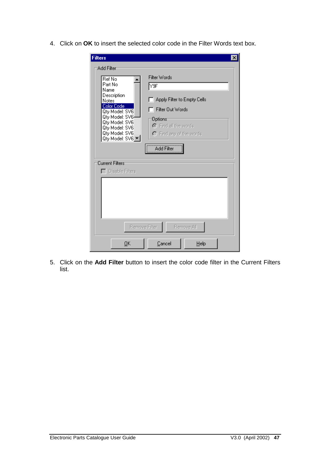4. Click on **OK** to insert the selected color code in the Filter Words text box.

| <b>Filters</b><br>$\boldsymbol{\mathsf{x}}$                                                                                                                                                        |
|----------------------------------------------------------------------------------------------------------------------------------------------------------------------------------------------------|
| Add Filter<br>Filter Words<br>Ref No<br>Part No.<br> Y9F<br>Name<br>Description<br>$\Box$ Apply Filter to Empty Cells<br>Notes<br>Color Code<br>□ Filter Out Words<br>Qty Model: SV6               |
| Qty Model: SV6<br>Options<br>Qty Model: SV6<br>C Find all the words<br>Qty Model: SV6<br>Qty Model: SV6<br>O Find any of the words<br>Qty Model: SV6<br>Add Filter<br>Current Filters <sup>-</sup> |
| <b>T</b> Disable Filters                                                                                                                                                                           |
| <b>Remove Filter</b><br>Remove All                                                                                                                                                                 |
| <b>OK</b><br>Cancel<br>$He$ lp                                                                                                                                                                     |

5. Click on the **Add Filter** button to insert the color code filter in the Current Filters list.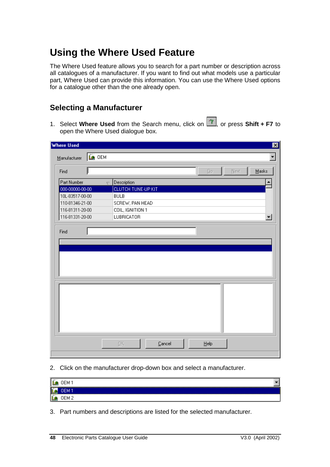# **Using the Where Used Feature**

The Where Used feature allows you to search for a part number or description across all catalogues of a manufacturer. If you want to find out what models use a particular part, Where Used can provide this information. You can use the Where Used options for a catalogue other than the one already open.

#### **Selecting a Manufacturer**

1. Select **Where Used** from the Search menu, click on  $\rightarrow$ , or press **Shift + F7** to open the Where Used dialogue box.

| Manufacturer <b>LA</b> OEM |                                                           |         |                          |
|----------------------------|-----------------------------------------------------------|---------|--------------------------|
| Find                       |                                                           | Go.     | Nest<br>$M$ asks         |
| Part Number                | Description<br>$\overline{J}$                             |         |                          |
| 000-00000-00-00            | CLUTCH TUNE-UP KIT                                        |         |                          |
| 10L-83517-00-00            | <b>BULB</b>                                               |         |                          |
| 110-81346-21-00            | SCREW, PAN HEAD                                           |         |                          |
| 116-81311-20-00            | COIL, IGNITION 1                                          |         |                          |
| 116-81331-20-00            | LUBRICATOR                                                |         | $\overline{\phantom{0}}$ |
|                            |                                                           |         |                          |
| Find                       |                                                           |         |                          |
|                            |                                                           |         |                          |
|                            |                                                           |         |                          |
|                            |                                                           |         |                          |
|                            |                                                           |         |                          |
|                            |                                                           |         |                          |
|                            |                                                           |         |                          |
|                            |                                                           |         |                          |
|                            |                                                           |         |                          |
|                            |                                                           |         |                          |
|                            |                                                           |         |                          |
|                            |                                                           |         |                          |
|                            |                                                           |         |                          |
|                            |                                                           |         |                          |
|                            |                                                           |         |                          |
|                            |                                                           |         |                          |
|                            |                                                           |         |                          |
|                            |                                                           |         |                          |
|                            |                                                           |         |                          |
|                            |                                                           |         |                          |
|                            | <u>Ο</u> Κ<br>$\ensuremath{\underline{\mathsf{C}}}$ ancel | $He$ lp |                          |

#### 2. Click on the manufacturer drop-down box and select a manufacturer.

| LE OEM1                         |                                                                                                                                                                                                                               |
|---------------------------------|-------------------------------------------------------------------------------------------------------------------------------------------------------------------------------------------------------------------------------|
| м<br>ш                          | Le communication de la communication de la communication de la communication de la communication de la communication de la communication de la communication de la communication de la communication de la communication de l |
| m<br>NEM 2<br><b>The County</b> |                                                                                                                                                                                                                               |

3. Part numbers and descriptions are listed for the selected manufacturer.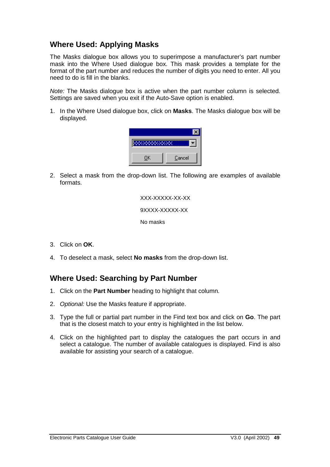### **Where Used: Applying Masks**

The Masks dialogue box allows you to superimpose a manufacturer's part number mask into the Where Used dialogue box. This mask provides a template for the format of the part number and reduces the number of digits you need to enter. All you need to do is fill in the blanks.

*Note:* The Masks dialogue box is active when the part number column is selected. Settings are saved when you exit if the Auto-Save option is enabled.

1. In the Where Used dialogue box, click on **Masks**. The Masks dialogue box will be displayed.



2. Select a mask from the drop-down list. The following are examples of available formats.



- 3. Click on **OK**.
- 4. To deselect a mask, select **No masks** from the drop-down list.

#### **Where Used: Searching by Part Number**

- 1. Click on the **Part Number** heading to highlight that column.
- 2. *Optional:* Use the Masks feature if appropriate.
- 3. Type the full or partial part number in the Find text box and click on **Go**. The part that is the closest match to your entry is highlighted in the list below.
- 4. Click on the highlighted part to display the catalogues the part occurs in and select a catalogue. The number of available catalogues is displayed. Find is also available for assisting your search of a catalogue.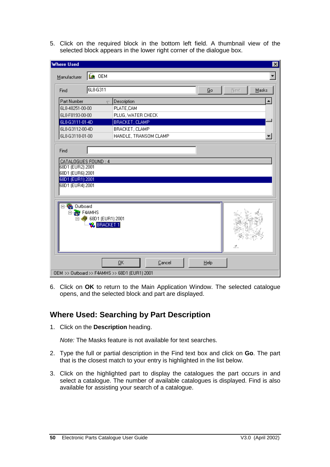5. Click on the required block in the bottom left field. A thumbnail view of the selected block appears in the lower right corner of the dialogue box.

| <b>Where Used</b>         |                               |                                               |      |               |
|---------------------------|-------------------------------|-----------------------------------------------|------|---------------|
| Manufacturer              | LE OEM                        |                                               |      |               |
| Find                      | 6L8-G311                      |                                               | G∘   | Next<br>Masks |
| Part Number               | $\overline{\mathbf{v}}$       | Description                                   |      | ᆂ             |
| 6L8-48251-00-00           |                               | PLATE,CAM                                     |      |               |
| 6L8-F8193-00-00           |                               | PLUG, WATER CHECK                             |      |               |
| 6L8-G3111-01-4D           |                               | <b>BRACKET, CLAMP</b>                         |      |               |
| 6L8-G3112-00-4D           |                               | BRACKET, CLAMP                                |      |               |
| 6L8-G3118-01-00           |                               | HANDLE, TRANSOM CLAMP                         |      | ▼             |
|                           |                               |                                               |      |               |
| Find                      |                               |                                               |      |               |
| CATALOGUES FOUND: 4       |                               |                                               |      |               |
| 68D1 (EUR2) 2001          |                               |                                               |      |               |
| 68D1 (EUR6) 2001          |                               |                                               |      |               |
| 68D1 (EUR1) 2001          |                               |                                               |      |               |
| 68D1 (EUR4) 2001          |                               |                                               |      |               |
|                           |                               |                                               |      |               |
| ⊟ <sup>6</sup> n Outboard |                               |                                               |      |               |
| <b>E-AMHS</b>             |                               |                                               |      |               |
|                           | ⊟ . <b>♦</b> 68D1 (EUR1) 2001 |                                               |      |               |
|                           | <b>BRACKET 1</b>              |                                               |      |               |
|                           |                               |                                               |      |               |
|                           |                               |                                               |      |               |
|                           |                               |                                               |      | ₫.            |
|                           |                               |                                               |      |               |
|                           |                               | Cancel<br>QK                                  | Help |               |
|                           |                               | OEM >> Outboard >> F4AMHS >> 68D1 (EUR1) 2001 |      |               |

6. Click on **OK** to return to the Main Application Window. The selected catalogue opens, and the selected block and part are displayed.

#### **Where Used: Searching by Part Description**

1. Click on the **Description** heading.

*Note:* The Masks feature is not available for text searches.

- 2. Type the full or partial description in the Find text box and click on **Go**. The part that is the closest match to your entry is highlighted in the list below.
- 3. Click on the highlighted part to display the catalogues the part occurs in and select a catalogue. The number of available catalogues is displayed. Find is also available for assisting your search of a catalogue.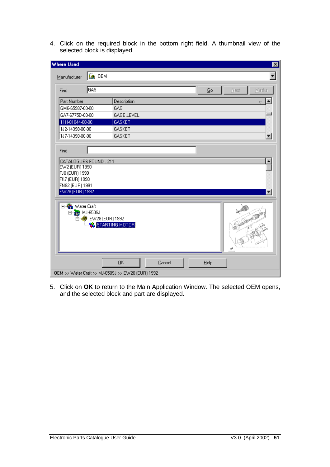4. Click on the required block in the bottom right field. A thumbnail view of the selected block is displayed.

| <b>Where Used</b>                 |                |                                                   |        |         | ⊠                        |
|-----------------------------------|----------------|---------------------------------------------------|--------|---------|--------------------------|
| Manufacturer                      | <b>ILE</b> OEM |                                                   |        |         |                          |
| Find                              | GAS            |                                                   |        | Go      | Next<br>Masks            |
| Part Number                       |                | Description                                       |        |         | ᡵ                        |
| GM6-65987-00-00                   |                | GAG                                               |        |         |                          |
| GA7-6775D-00-00                   |                | GAGE,LEVEL                                        |        |         |                          |
| 11H-81844-00-00                   |                | <b>GASKET</b>                                     |        |         |                          |
| 1J2-14398-00-00                   |                | <b>GASKET</b>                                     |        |         |                          |
| 1J7-14398-00-00                   |                | GASKET                                            |        |         | $\overline{\phantom{a}}$ |
| Find                              |                |                                                   |        |         |                          |
| CATALOGUES FOUND: 211             |                |                                                   |        |         |                          |
| EW2 (EUR) 1990                    |                |                                                   |        |         |                          |
| FJO (EUR) 1990                    |                |                                                   |        |         |                          |
| FK7 (EUR) 1990<br>FN82 (EUR) 1991 |                |                                                   |        |         |                          |
| EW28 (EUR) 1992                   |                |                                                   |        |         | ▼                        |
|                                   |                |                                                   |        |         |                          |
| □ Vater Craft                     |                |                                                   |        |         |                          |
| 白 2 MJ-650SJ                      |                |                                                   |        |         |                          |
| Ėŀ                                |                | EW28 (EUR) 1992                                   |        |         |                          |
|                                   |                | <b>V. STARTING MOTOR</b>                          |        |         | ď                        |
|                                   |                | QK                                                | Cancel | $He$ lp |                          |
|                                   |                | OEM >> Water Craft >> MJ-650SJ >> EW28 (EUR) 1992 |        |         |                          |

5. Click on **OK** to return to the Main Application Window. The selected OEM opens, and the selected block and part are displayed.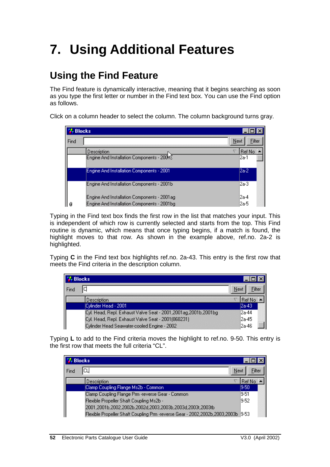# **7. Using Additional Features**

## **Using the Find Feature**

The Find feature is dynamically interactive, meaning that it begins searching as soon as you type the first letter or number in the Find text box. You can use the Find option as follows.

Click on a column header to select the column. The column background turns gray.



Typing in the Find text box finds the first row in the list that matches your input. This is independent of which row is currently selected and starts from the top. This Find routine is dynamic, which means that once typing begins, if a match is found, the highlight moves to that row. As shown in the example above, ref.no. 2a-2 is highlighted.

Typing **C** in the Find text box highlights ref.no. 2a-43. This entry is the first row that meets the Find criteria in the description column.

|      | <b>M</b> <sub>2</sub> Blocks                                       |                |  |  |
|------|--------------------------------------------------------------------|----------------|--|--|
| Find |                                                                    | Filter<br>Next |  |  |
|      | <b>Description</b>                                                 | Ref No         |  |  |
|      | Cylinder Head - 2001                                               | l2a-43         |  |  |
|      | Cyl. Head, Repl. Exhaust Valve Seat - 2001, 2001 ag, 2001b, 2001bg | l2a-44         |  |  |
|      | Cyl. Head, Repl. Exhaust Valve Seat - 2001(868231)                 | l2a-45         |  |  |
|      | Cylinder Head Seawater-cooled Engine - 2002                        | l2a-46         |  |  |

Typing **L** to add to the Find criteria moves the highlight to ref.no. 9-50. This entry is the first row that meets the full criteria "CL".

| <b>Blocks</b> |                                                                                   |        |  |
|---------------|-----------------------------------------------------------------------------------|--------|--|
| Find          | CЦ<br>Next                                                                        | Filter |  |
|               | Description                                                                       | Ref No |  |
|               | Clamp Coupling Flange Ms2b - Common                                               | 9-50   |  |
|               | Clamp Coupling Flange Prm -reverse Gear - Common                                  | 19-51  |  |
|               | Flexible Propeller Shaft Coupling Ms2b -                                          | 19-52  |  |
|               | /2001,2001b,2002,2002b,2002d,2003,2003b,2003d,2003t,2003tb                        |        |  |
|               | Flexible Propeller Shaft Coupling Prm -reverse Gear - 2002,2002b,2003,2003b  9-53 |        |  |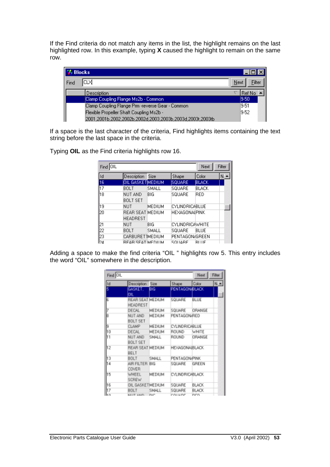If the Find criteria do not match any items in the list, the highlight remains on the last highlighted row. In this example, typing **X** caused the highlight to remain on the same row.

| <b>M.</b> Blocks |                                                           |                |
|------------------|-----------------------------------------------------------|----------------|
| Find             | CLХ                                                       | Next<br>Filter |
|                  | Description                                               | Ref No         |
|                  | Clamp Coupling Flange Ms2b - Common                       | $9-50$         |
|                  | Clamp Coupling Flange Prm -reverse Gear - Common          | 19-51          |
|                  | Flexible Propeller Shaft Coupling Ms2b -                  | 9-52           |
|                  | 2001,2001b,2002,2002b,2002d,2003,2003b,2003d,2003t,2003tb |                |

If a space is the last character of the criteria, Find highlights items containing the text string before the last space in the criteria.

Typing **OIL** as the Find criteria highlights row 16.

| 10IL<br>Find    |                                            |        |                        | Next         | Filter |
|-----------------|--------------------------------------------|--------|------------------------|--------------|--------|
| ld              | Description                                | Size   | Shape                  | Color        | Ν.     |
| 16              | OIL GASKETMEDIUM                           |        | SQUARE                 | <b>BLACK</b> |        |
| 17              | BOLT                                       | SMALL  | SQUARE                 | BLACK        |        |
| 18              | NUT AND<br><b>BOLT SET</b>                 | BIG    | SQUARE                 | RED          |        |
| h9              | NUT                                        | MEDIUM | <b>CYLINDRICABLUE</b>  |              |        |
| 20              | <b>REAR SEAT MEDIUM</b><br><b>HEADREST</b> |        | HEXAGONAIPINK          |              |        |
|                 | NUT                                        | BIG    | <b>CYLINDRICAWHITE</b> |              |        |
| $\frac{21}{22}$ | BOLT                                       | SMALL  | SQUARE                 | BLUE         |        |
|                 | CARBURETIMEDIUM                            |        | PENTAGON/GREEN         |              |        |
| ĪΣΔ             | REAR SEATIMEDIUM                           |        | SOLIARE                | <b>BLIJE</b> |        |

Adding a space to make the find criteria "OIL " highlights row 5. This entry includes the word "OIL" somewhere in the description.

| Find OIL |                                         |       |                                 | Next                | Filter |
|----------|-----------------------------------------|-------|---------------------------------|---------------------|--------|
| Id       | Description Size                        |       | Shape                           | Color               | $N -$  |
| ē        | GASKET, BIG<br>OIL.                     |       | <b>PENTAGON/BLACK</b>           |                     |        |
| G        | REAR SEAT MEDIUM<br><b>HEADREST</b>     |       | SQUARE BLUE                     |                     |        |
| 7        | DECAL MEDIUM                            |       |                                 | SQUARE ORANGE       |        |
|          | NUT AND MEDIUM<br>BOLT SET              |       | PENTAGON/RED                    |                     |        |
| ß        | CLAMP MEDIUM                            |       | CYLINDRICABLUE                  |                     |        |
| lt o     | DECAL MEDIUM                            |       | <b>ROUND</b>                    | <b>WHITE</b>        |        |
| 11       | NUT AND SMALL<br>BOLT SET               |       |                                 | ROUND ORANGE        |        |
| h2       | <b>BELT</b>                             |       | REAR SEAT MEDIUM HEXAGONAIBLACK |                     |        |
| hз       | BOLT SMALL                              |       | PENTAGON/PINK                   |                     |        |
| 14       | AIR FILTER BIG<br>COVER                 |       | SQUARE                          | GREEN               |        |
| 15       | <b>SCREW</b>                            |       | WHEEL MEDIUM CYLINDRICABLACK    |                     |        |
| h6       | OIL GASKETMEDIUM                        |       | SQUARE BLACK                    |                     |        |
| h7       | <b>BOLT</b>                             | SMALL | SQUARE                          | <b>BLACK</b>        |        |
|          | <b>A REPORT OF A REPORT OF A REPORT</b> |       | <b>A POLICE BURNING</b>         | <b>COLOR COLUMN</b> |        |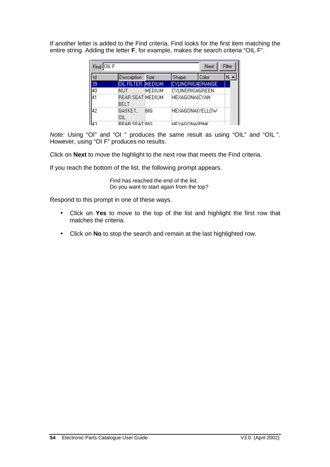If another letter is added to the Find criteria, Find looks for the first item matching the entire string. Adding the letter **F**, for example, makes the search criteria "OIL F".

| Find OIL F |                          |        |                      | Next  | Filter |
|------------|--------------------------|--------|----------------------|-------|--------|
| Id         | Description              | Size   | Shape                | Color |        |
| 39         | OIL FILTER MEDIUM        |        | CYLINDRICAORANGE     |       |        |
| 40         | NUT                      | MEDIUM | ICYLINDRICAGREEN     |       |        |
| 141        | REAR SEAT MEDIUM<br>BELT |        | HEXAGONAICYAN        |       |        |
| 42         | GASKET.<br>OIL           | BIG    | HEXAGONAIYELLOW      |       |        |
| IJ٩        | REAR SEATIBIG            |        | <b>HEXAGONAIPINK</b> |       |        |

*Note:* Using "OI" and "OI" produces the same result as using "OIL" and "OIL". However, using "OI F" produces no results.

Click on **Next** to move the highlight to the next row that meets the Find criteria.

If you reach the bottom of the list, the following prompt appears.

Find has reached the end of the list. Do you want to start again from the top?

Respond to this prompt in one of these ways.

- Click on **Yes** to move to the top of the list and highlight the first row that matches the criteria.
- Click on **No** to stop the search and remain at the last highlighted row.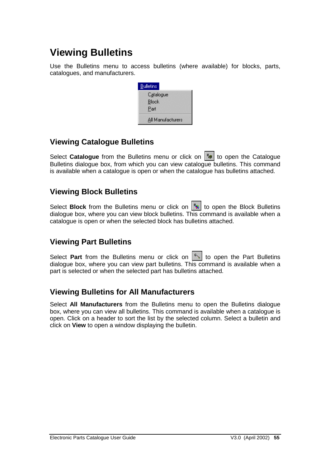## **Viewing Bulletins**

Use the Bulletins menu to access bulletins (where available) for blocks, parts, catalogues, and manufacturers.



#### **Viewing Catalogue Bulletins**

Select **Catalogue** from the Bulletins menu or click on  $\left|\frac{a}{x}\right|$  to open the Catalogue Bulletins dialogue box, from which you can view catalogue bulletins. This command is available when a catalogue is open or when the catalogue has bulletins attached.

### **Viewing Block Bulletins**

Select **Block** from the Bulletins menu or click on  $\|\mathbf{u}\|$  to open the Block Bulletins dialogue box, where you can view block bulletins. This command is available when a catalogue is open or when the selected block has bulletins attached.

#### **Viewing Part Bulletins**

Select **Part** from the Bulletins menu or click on  $\left|\frac{\theta_{\text{in}}}{\theta_{\text{in}}} \right|$  to open the Part Bulletins dialogue box, where you can view part bulletins. This command is available when a part is selected or when the selected part has bulletins attached.

#### **Viewing Bulletins for All Manufacturers**

Select **All Manufacturers** from the Bulletins menu to open the Bulletins dialogue box, where you can view all bulletins. This command is available when a catalogue is open. Click on a header to sort the list by the selected column. Select a bulletin and click on **View** to open a window displaying the bulletin.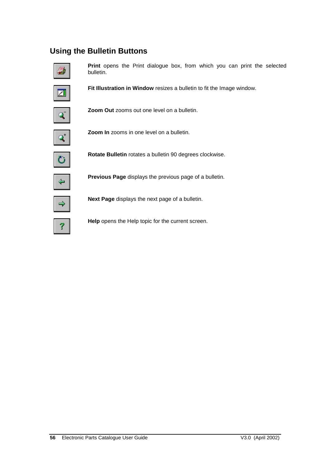### **Using the Bulletin Buttons**



**Print** opens the Print dialogue box, from which you can print the selected bulletin.

**Fit Illustration in Window** resizes a bulletin to fit the Image window.

**Zoom Out** zooms out one level on a bulletin.



**Zoom In** zooms in one level on a bulletin.

**Rotate Bulletin** rotates a bulletin 90 degrees clockwise.



**Previous Page** displays the previous page of a bulletin.



**Next Page** displays the next page of a bulletin.

**Help** opens the Help topic for the current screen.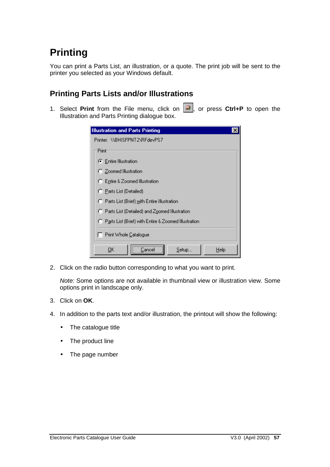# **Printing**

You can print a Parts List, an illustration, or a quote. The print job will be sent to the printer you selected as your Windows default.

### **Printing Parts Lists and/or Illustrations**

1. Select **Print** from the File menu, click on  $\boxed{\triangleq}$ , or press Ctrl+P to open the Illustration and Parts Printing dialogue box.

| <b>Illustration and Parts Printing</b>                 |
|--------------------------------------------------------|
| Printer: WBHISFPNT2VRFdevPS7                           |
| Print                                                  |
| C Entire Illustration                                  |
| C Zoomed Illustration                                  |
| ◯ Entire & Zoomed Illustration                         |
| C Parts List (Detailed)                                |
| C Parts List (Brief) with Entire Illustration          |
| C Parts List (Detailed) and Zoomed Illustration        |
| C Parts List (Brief) with Entire & Zoomed Illustration |
| Print Whole Catalogue                                  |
| Setup<br><u>о</u> к<br>Help<br>iancel                  |

2. Click on the radio button corresponding to what you want to print.

*Note:* Some options are not available in thumbnail view or illustration view. Some options print in landscape only.

- 3. Click on **OK**.
- 4. In addition to the parts text and/or illustration, the printout will show the following:
	- The catalogue title
	- The product line
	- The page number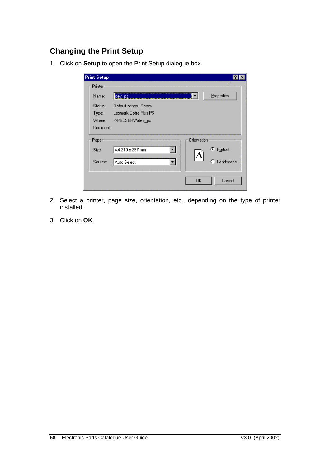### **Changing the Print Setup**

1. Click on **Setup** to open the Print Setup dialogue box.

| <b>Print Setup</b> |                        |   |                    |                | $\mathbf{?}$ |
|--------------------|------------------------|---|--------------------|----------------|--------------|
| Printer            |                        |   |                    |                |              |
| Name:              | dev_ps                 |   |                    | Properties     |              |
| Status:            | Default printer; Ready |   |                    |                |              |
| Type:              | Lexmark Optra Plus PS  |   |                    |                |              |
| Where:             | \\PSCSERV\dev_ps       |   |                    |                |              |
| Comment:           |                        |   |                    |                |              |
| Paper              |                        |   | <b>Orientation</b> |                |              |
| Size:              | A4 210 x 297 mm        | ۰ | A                  | C Portrait     |              |
| Source:            | Auto Select            |   |                    | o<br>Landscape |              |
|                    |                        |   | 0K                 | Cancel         |              |

- 2. Select a printer, page size, orientation, etc., depending on the type of printer installed.
- 3. Click on **OK**.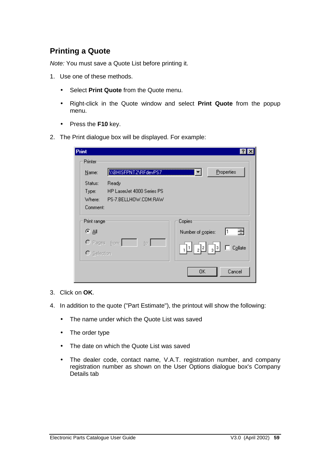### **Printing a Quote**

*Note:* You must save a Quote List before printing it.

- 1. Use one of these methods.
	- Select **Print Quote** from the Quote menu.
	- Right-click in the Quote window and select **Print Quote** from the popup menu.
	- Press the **F10** key.
- 2. The Print dialogue box will be displayed. For example:

| <b>Print</b>  |                            |                                       |                |
|---------------|----------------------------|---------------------------------------|----------------|
| Printer       |                            |                                       |                |
| Name:         | <b>NBHISFPNT2NRFdevPS7</b> |                                       | Properties     |
| Status:       | Ready                      |                                       |                |
| Type:         | HP LaserJet 4000 Series PS |                                       |                |
| Where:        | PS-7.BELLHOW.COM:RAW       |                                       |                |
| Comment:      |                            |                                       |                |
| Print range   |                            | Copies                                |                |
| உதா           |                            | Number of copies:                     | 쉮              |
| C Pages [rom: | ţo:                        |                                       |                |
| C Selection   |                            | $\lfloor 2 \rfloor$<br>$\overline{1}$ | Collate<br>່ 3 |
|               |                            | ΟK                                    | Cancel         |

- 3. Click on **OK**.
- 4. In addition to the quote ("Part Estimate"), the printout will show the following:
	- The name under which the Quote List was saved
	- The order type
	- The date on which the Quote List was saved
	- The dealer code, contact name, V.A.T. registration number, and company registration number as shown on the User Options dialogue box's Company Details tab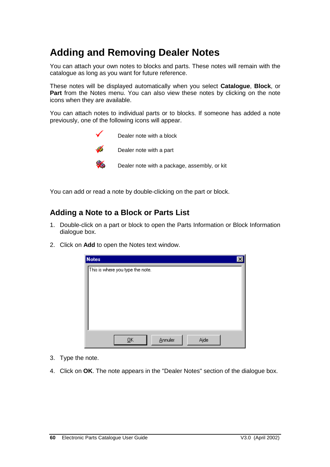## **Adding and Removing Dealer Notes**

You can attach your own notes to blocks and parts. These notes will remain with the catalogue as long as you want for future reference.

These notes will be displayed automatically when you select **Catalogue**, **Block**, or **Part** from the Notes menu. You can also view these notes by clicking on the note icons when they are available.

You can attach notes to individual parts or to blocks. If someone has added a note previously, one of the following icons will appear.



You can add or read a note by double-clicking on the part or block.

#### **Adding a Note to a Block or Parts List**

- 1. Double-click on a part or block to open the Parts Information or Block Information dialogue box.
- 2. Click on **Add** to open the Notes text window.



- 3. Type the note.
- 4. Click on **OK**. The note appears in the "Dealer Notes" section of the dialogue box.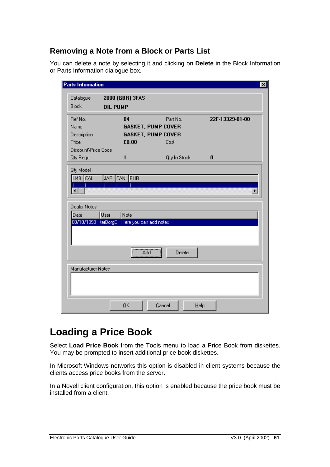### **Removing a Note from a Block or Parts List**

You can delete a note by selecting it and clicking on **Delete** in the Block Information or Parts Information dialogue box.

| Catalogue           | 2000 (GBR) 3FAS                            |                           |                 |  |  |
|---------------------|--------------------------------------------|---------------------------|-----------------|--|--|
| <b>Block</b>        | <b>OIL PUMP</b>                            |                           |                 |  |  |
| Ref No.             | 04                                         | Part No.                  | 22F-13329-01-00 |  |  |
| Name                |                                            | <b>GASKET, PUMP COVER</b> |                 |  |  |
| Description         |                                            | <b>GASKET, PUMP COVER</b> |                 |  |  |
| Price               | £0.00                                      | Cost                      |                 |  |  |
| Discount\Price Code |                                            |                           |                 |  |  |
| Qty Regd.           | 1                                          | Qty In Stock              | 0               |  |  |
| Qty Model           |                                            |                           |                 |  |  |
| $U49$ $CL$          | JAP CAN EUR                                |                           |                 |  |  |
|                     |                                            |                           |                 |  |  |
|                     |                                            |                           |                 |  |  |
| <b>Dealer Notes</b> |                                            |                           |                 |  |  |
| Date                | Note                                       |                           |                 |  |  |
| 08/10/1999          | User<br>terBorgE<br>Here you can add notes |                           |                 |  |  |
|                     |                                            |                           |                 |  |  |
|                     |                                            |                           |                 |  |  |
|                     |                                            |                           |                 |  |  |
|                     | <u>Add</u>                                 | Delete                    |                 |  |  |
|                     |                                            |                           |                 |  |  |
| Manufacturer Notes  |                                            |                           |                 |  |  |
|                     |                                            |                           |                 |  |  |
|                     |                                            |                           |                 |  |  |
|                     |                                            |                           |                 |  |  |

### **Loading a Price Book**

Select **Load Price Book** from the Tools menu to load a Price Book from diskettes. You may be prompted to insert additional price book diskettes.

In Microsoft Windows networks this option is disabled in client systems because the clients access price books from the server.

In a Novell client configuration, this option is enabled because the price book must be installed from a client.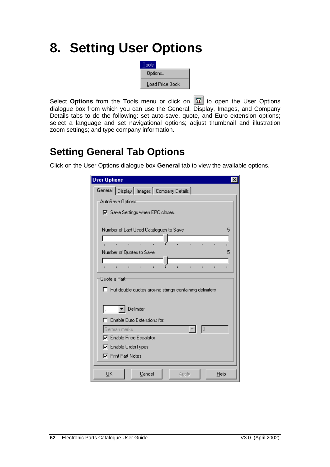# **8. Setting User Options**

| <b>Tools</b>    |  |
|-----------------|--|
| Options         |  |
| Load Price Book |  |

Select **Options** from the Tools menu or click on  $\|\mathbb{F}\|$  to open the User Options dialogue box from which you can use the General, Display, Images, and Company Details tabs to do the following: set auto-save, quote, and Euro extension options; select a language and set navigational options; adjust thumbnail and illustration zoom settings; and type company information.

### **Setting General Tab Options**

Click on the User Options dialogue box **General** tab to view the available options.

| <b>User Options</b>                                      |        |  |  |
|----------------------------------------------------------|--------|--|--|
| General Display   Images   Company Details               |        |  |  |
| AutoSave Options <sup>-</sup>                            |        |  |  |
| <b>▽</b> Save Settings when EPC closes.                  |        |  |  |
|                                                          |        |  |  |
| Number of Last Used Catalogues to Save                   | 5      |  |  |
|                                                          |        |  |  |
| ï<br>ï<br>$\blacksquare$<br>Number of Quotes to Save     | п<br>5 |  |  |
|                                                          |        |  |  |
| Ĭ.<br>ï                                                  |        |  |  |
| Quote a Part                                             |        |  |  |
| □ Put double quotes around strings containing delimiters |        |  |  |
|                                                          |        |  |  |
| Delimiter                                                |        |  |  |
| Enable Euro Extensions for:                              |        |  |  |
| 10<br>German marks                                       |        |  |  |
| <b>▽</b> Enable Price Escalator                          |        |  |  |
| <b>V</b> Enable OrderTypes                               |        |  |  |
| <b>▽</b> Print Part Notes                                |        |  |  |
|                                                          |        |  |  |
| <b>OK</b><br>Cancel<br>Help<br>Apply                     |        |  |  |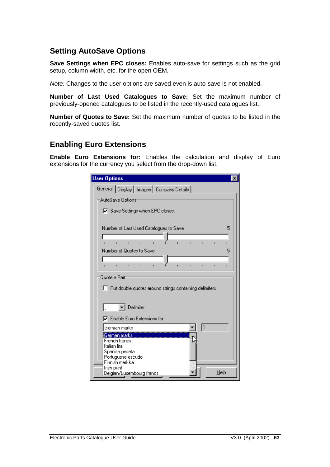### **Setting AutoSave Options**

**Save Settings when EPC closes:** Enables auto-save for settings such as the grid setup, column width, etc. for the open OEM.

*Note:* Changes to the user options are saved even is auto-save is not enabled.

**Number of Last Used Catalogues to Save:** Set the maximum number of previously-opened catalogues to be listed in the recently-used catalogues list.

**Number of Quotes to Save:** Set the maximum number of quotes to be listed in the recently-saved quotes list.

#### **Enabling Euro Extensions**

**Enable Euro Extensions for:** Enables the calculation and display of Euro extensions for the currency you select from the drop-down list.

| <b>User Options</b>                                           |      |  |  |
|---------------------------------------------------------------|------|--|--|
| General Display   Images   Company Details                    |      |  |  |
| AutoSave Options <sup>.</sup>                                 |      |  |  |
|                                                               |      |  |  |
| $\nabla$ Save Settings when EPC closes.                       |      |  |  |
|                                                               |      |  |  |
| Number of Last Used Catalogues to Save                        | 5    |  |  |
|                                                               |      |  |  |
| ï<br>$\blacksquare$                                           |      |  |  |
| Number of Quotes to Save                                      | 5    |  |  |
|                                                               |      |  |  |
|                                                               |      |  |  |
| Quote a Part                                                  |      |  |  |
|                                                               |      |  |  |
| $\Box$ Put double quotes around strings containing delimiters |      |  |  |
|                                                               |      |  |  |
| Delimiter                                                     |      |  |  |
|                                                               |      |  |  |
| $\nabla$ Enable Euro Extensions for:                          |      |  |  |
| German marks                                                  | I٥   |  |  |
| German marks                                                  |      |  |  |
| French francs                                                 |      |  |  |
| Italian lira<br>Spanish peseta                                |      |  |  |
| Portuguese escudo                                             |      |  |  |
| Finnish markka                                                |      |  |  |
| Irish punt                                                    |      |  |  |
| Belgian/Luxembourg francs                                     | Help |  |  |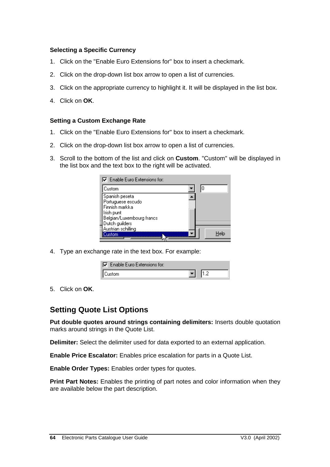#### **Selecting a Specific Currency**

- 1. Click on the "Enable Euro Extensions for" box to insert a checkmark.
- 2. Click on the drop-down list box arrow to open a list of currencies.
- 3. Click on the appropriate currency to highlight it. It will be displayed in the list box.
- 4. Click on **OK**.

#### **Setting a Custom Exchange Rate**

- 1. Click on the "Enable Euro Extensions for" box to insert a checkmark.
- 2. Click on the drop-down list box arrow to open a list of currencies.
- 3. Scroll to the bottom of the list and click on **Custom**. "Custom" will be displayed in the list box and the text box to the right will be activated.

| $\nabla$ Enable Euro Extensions for: |      |
|--------------------------------------|------|
| Custom                               |      |
| Spanish peseta                       |      |
| Portuguese escudo                    |      |
| Finnish markka                       |      |
| Irish punt                           |      |
| Belgian/Luxembourg francs            |      |
| Dutch guilders:                      |      |
| Austrian schilling                   |      |
| ustom.                               | Help |
|                                      |      |

4. Type an exchange rate in the text box. For example:

| $\nabla$ Enable Euro Extensions for: |  |
|--------------------------------------|--|
| Custom                               |  |

5. Click on **OK**.

#### **Setting Quote List Options**

**Put double quotes around strings containing delimiters:** Inserts double quotation marks around strings in the Quote List.

**Delimiter:** Select the delimiter used for data exported to an external application.

**Enable Price Escalator:** Enables price escalation for parts in a Quote List.

**Enable Order Types:** Enables order types for quotes.

**Print Part Notes:** Enables the printing of part notes and color information when they are available below the part description.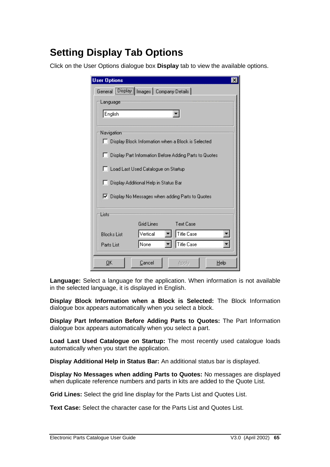# **Setting Display Tab Options**

Click on the User Options dialogue box **Display** tab to view the available options.

| <b>User Options</b>                                      |                                                      |                  |      |  |
|----------------------------------------------------------|------------------------------------------------------|------------------|------|--|
| General Display   Images   Company Details               |                                                      |                  |      |  |
| Language                                                 |                                                      |                  |      |  |
| English                                                  |                                                      |                  |      |  |
| Navigation                                               |                                                      |                  |      |  |
|                                                          | □ Display Block Information when a Block is Selected |                  |      |  |
| □ Display Part Information Before Adding Parts to Quotes |                                                      |                  |      |  |
| □ Load Last Used Catalogue on Startup                    |                                                      |                  |      |  |
| ↑□ Display Additional Help in Status Bar                 |                                                      |                  |      |  |
| Ⅳ Display No Messages when adding Parts to Quotes        |                                                      |                  |      |  |
| Lists                                                    |                                                      |                  |      |  |
|                                                          | Grid Lines                                           | <b>Text Case</b> |      |  |
| <b>Blocks List</b>                                       | Vertical                                             | Title Case       |      |  |
| Parts List                                               | None                                                 | Title Case       |      |  |
| <b>OK</b>                                                | Cancel                                               | Apply            | Help |  |

**Language:** Select a language for the application. When information is not available in the selected language, it is displayed in English.

**Display Block Information when a Block is Selected:** The Block Information dialogue box appears automatically when you select a block.

**Display Part Information Before Adding Parts to Quotes:** The Part Information dialogue box appears automatically when you select a part.

**Load Last Used Catalogue on Startup:** The most recently used catalogue loads automatically when you start the application.

**Display Additional Help in Status Bar:** An additional status bar is displayed.

**Display No Messages when adding Parts to Quotes:** No messages are displayed when duplicate reference numbers and parts in kits are added to the Quote List.

**Grid Lines:** Select the grid line display for the Parts List and Quotes List.

**Text Case:** Select the character case for the Parts List and Quotes List.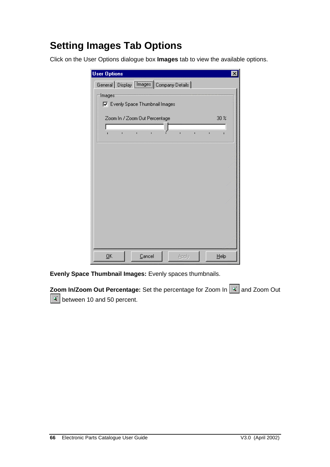# **Setting Images Tab Options**

Click on the User Options dialogue box **Images** tab to view the available options.



**Evenly Space Thumbnail Images:** Evenly spaces thumbnails.

**Zoom In/Zoom Out Percentage:** Set the percentage for Zoom In 4 and Zoom Out  $\mathbb{R}$  between 10 and 50 percent.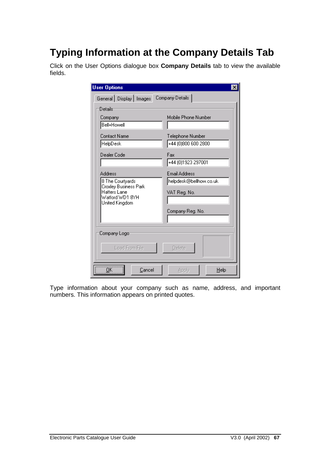# **Typing Information at the Company Details Tab**

Click on the User Options dialogue box **Company Details** tab to view the available fields.

| <b>User Options</b>                                                                                                                                                                                                                  |               |  |  |
|--------------------------------------------------------------------------------------------------------------------------------------------------------------------------------------------------------------------------------------|---------------|--|--|
| General Display Images<br>Company Details                                                                                                                                                                                            |               |  |  |
| Details:<br>Mobile Phone Number<br>Company<br><b>Bell+Howell</b><br>Contact Name<br>Telephone Number<br>(+44 (0)800 600 2800<br>HelpDesk                                                                                             |               |  |  |
| Dealer Code<br>Fax<br>+44 (0)1923 297001<br>Address<br>Email Address<br>8 The Courtyards<br>helpdesk@bellhow.co.uk<br>Croxley Business Park<br>Hatters Lane<br>VAT Reg. No.<br>Watford WD1 8YH<br>United Kingdom<br>Company Reg. No. |               |  |  |
| Company Logo <sup>.</sup><br>Load From File<br><b>Delete</b>                                                                                                                                                                         |               |  |  |
| ΩK<br>Cancel                                                                                                                                                                                                                         | Apply<br>Help |  |  |

Type information about your company such as name, address, and important numbers. This information appears on printed quotes.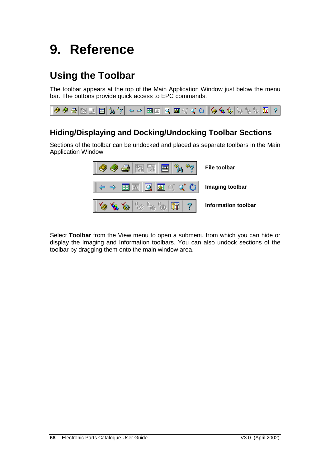# **9. Reference**

# **Using the Toolbar**

The toolbar appears at the top of the Main Application Window just below the menu bar. The buttons provide quick access to EPC commands.



### **Hiding/Displaying and Docking/Undocking Toolbar Sections**

Sections of the toolbar can be undocked and placed as separate toolbars in the Main Application Window.



Select **Toolbar** from the View menu to open a submenu from which you can hide or display the Imaging and Information toolbars. You can also undock sections of the toolbar by dragging them onto the main window area.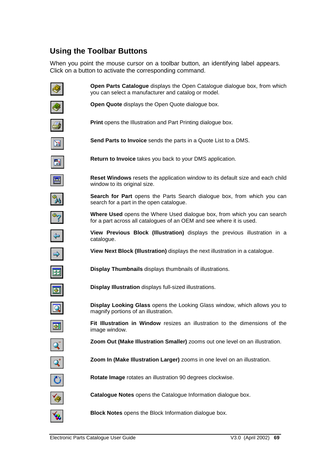### **Using the Toolbar Buttons**

When you point the mouse cursor on a toolbar button, an identifying label appears. Click on a button to activate the corresponding command.

|                            | <b>Open Parts Catalogue</b> displays the Open Catalogue dialogue box, from which<br>you can select a manufacturer and catalog or model.                |
|----------------------------|--------------------------------------------------------------------------------------------------------------------------------------------------------|
|                            | Open Quote displays the Open Quote dialogue box.                                                                                                       |
|                            | <b>Print</b> opens the Illustration and Part Printing dialogue box.                                                                                    |
| 圖                          | <b>Send Parts to Invoice</b> sends the parts in a Quote List to a DMS.                                                                                 |
| 醫                          | Return to Invoice takes you back to your DMS application.                                                                                              |
| 酉                          | <b>Reset Windows</b> resets the application window to its default size and each child<br>window to its original size.                                  |
|                            | <b>Search for Part</b> opens the Parts Search dialogue box, from which you can<br>search for a part in the open catalogue.                             |
|                            | <b>Where Used</b> opens the Where Used dialogue box, from which you can search<br>for a part across all catalogues of an OEM and see where it is used. |
| $\left( \bigoplus \right)$ | View Previous Block (Illustration) displays the previous illustration in a<br>catalogue.                                                               |
| $\Rightarrow$              | View Next Block (Illustration) displays the next illustration in a catalogue.                                                                          |
| ⊞                          | Display Thumbnails displays thumbnails of illustrations.                                                                                               |
| ◙                          | Display Illustration displays full-sized illustrations.                                                                                                |
|                            | Display Looking Glass opens the Looking Glass window, which allows you to<br>magnify portions of an illustration.                                      |
| $\boxed{\circledast}$      | Fit Illustration in Window resizes an illustration to the dimensions of the<br>image window.                                                           |
|                            | Zoom Out (Make Illustration Smaller) zooms out one level on an illustration.                                                                           |
| $\mathbf{Q}^*$             | Zoom In (Make Illustration Larger) zooms in one level on an illustration.                                                                              |
| $\overline{C}$             | Rotate Image rotates an illustration 90 degrees clockwise.                                                                                             |
|                            | Catalogue Notes opens the Catalogue Information dialogue box.                                                                                          |
|                            | <b>Block Notes</b> opens the Block Information dialogue box.                                                                                           |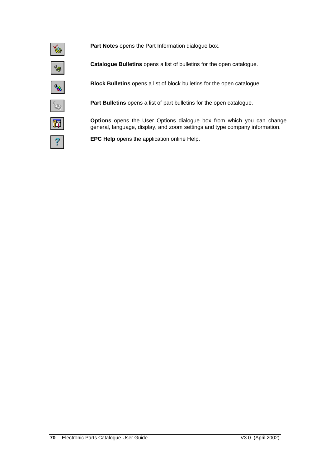| <b>Part Notes</b> opens the Part Information dialogue box.                                                                                                  |
|-------------------------------------------------------------------------------------------------------------------------------------------------------------|
| <b>Catalogue Bulletins</b> opens a list of bulletins for the open catalogue.                                                                                |
| <b>Block Bulletins</b> opens a list of block bulletins for the open catalogue.                                                                              |
| <b>Part Bulletins</b> opens a list of part bulletins for the open catalogue.                                                                                |
| <b>Options</b> opens the User Options dialogue box from which you can change<br>general, language, display, and zoom settings and type company information. |
| <b>EPC Help</b> opens the application online Help.                                                                                                          |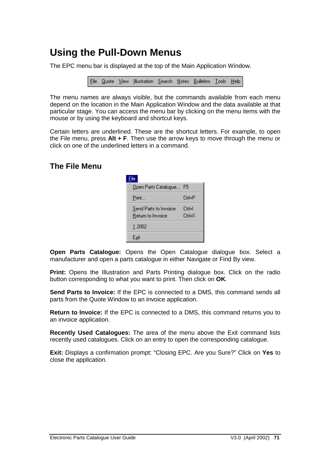### **Using the Pull-Down Menus**

The EPC menu bar is displayed at the top of the Main Application Window.

File Quote View Illustration Search Notes Bulletins Tools Help

The menu names are always visible, but the commands available from each menu depend on the location in the Main Application Window and the data available at that particular stage. You can access the menu bar by clicking on the menu items with the mouse or by using the keyboard and shortcut keys.

Certain letters are underlined. These are the shortcut letters. For example, to open the File menu, press **Alt + F**. Then use the arrow keys to move through the menu or click on one of the underlined letters in a command.

#### **The File Menu**

| File                 |                                            |                  |
|----------------------|--------------------------------------------|------------------|
| Open Parts Catalogue |                                            | F5               |
|                      | Print                                      | Ctrl+P           |
|                      | Send Parts to Invoice<br>Return to Invoice | Ctrl+l<br>Ctrl+X |
|                      | 1 2002                                     |                  |
| Exit                 |                                            |                  |

**Open Parts Catalogue:** Opens the Open Catalogue dialogue box. Select a manufacturer and open a parts catalogue in either Navigate or Find By view.

**Print:** Opens the Illustration and Parts Printing dialogue box. Click on the radio button corresponding to what you want to print. Then click on **OK**.

**Send Parts to Invoice:** If the EPC is connected to a DMS, this command sends all parts from the Quote Window to an invoice application.

**Return to Invoice:** If the EPC is connected to a DMS, this command returns you to an invoice application.

**Recently Used Catalogues:** The area of the menu above the Exit command lists recently used catalogues. Click on an entry to open the corresponding catalogue.

**Exit:** Displays a confirmation prompt: "Closing EPC. Are you Sure?" Click on **Yes** to close the application.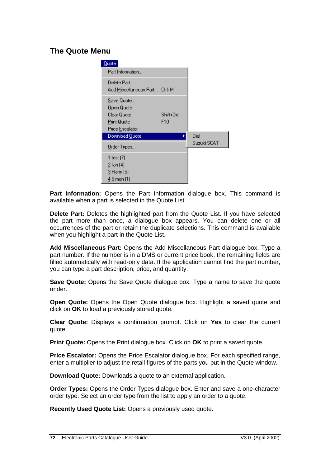### **The Quote Menu**

| <b>Quote</b>                                                                     |                  |             |  |
|----------------------------------------------------------------------------------|------------------|-------------|--|
| Part Information                                                                 |                  |             |  |
| Delete Part<br>Add Miscellaneous Part Ctrl+M                                     |                  |             |  |
| Save Quote<br>Open Quote<br>Clear Quote<br><b>Print Quote</b><br>Price Escalator | Shift+Del<br>F10 |             |  |
| Download Quote                                                                   |                  | Dial        |  |
| Order Types                                                                      |                  | Suzuki SCAT |  |
| 1 test $[7]$<br>$2$ lan $(4)$<br>$3$ Harry (5)<br>4 Simon (1)                    |                  |             |  |

**Part Information:** Opens the Part Information dialogue box. This command is available when a part is selected in the Quote List.

**Delete Part:** Deletes the highlighted part from the Quote List. If you have selected the part more than once, a dialogue box appears. You can delete one or all occurrences of the part or retain the duplicate selections. This command is available when you highlight a part in the Quote List.

**Add Miscellaneous Part:** Opens the Add Miscellaneous Part dialogue box. Type a part number. If the number is in a DMS or current price book, the remaining fields are filled automatically with read-only data. If the application cannot find the part number, you can type a part description, price, and quantity.

**Save Quote:** Opens the Save Quote dialogue box. Type a name to save the quote under.

**Open Quote:** Opens the Open Quote dialogue box. Highlight a saved quote and click on **OK** to load a previously stored quote.

**Clear Quote:** Displays a confirmation prompt. Click on **Yes** to clear the current quote.

**Print Quote:** Opens the Print dialogue box. Click on **OK** to print a saved quote.

**Price Escalator:** Opens the Price Escalator dialogue box. For each specified range, enter a multiplier to adjust the retail figures of the parts you put in the Quote window.

**Download Quote:** Downloads a quote to an external application.

**Order Types:** Opens the Order Types dialogue box. Enter and save a one-character order type. Select an order type from the list to apply an order to a quote.

**Recently Used Quote List:** Opens a previously used quote.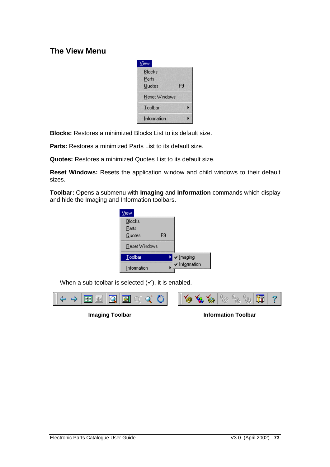### **The View Menu**



**Blocks:** Restores a minimized Blocks List to its default size.

**Parts:** Restores a minimized Parts List to its default size.

**Quotes:** Restores a minimized Quotes List to its default size.

**Reset Windows:** Resets the application window and child windows to their default sizes.

**Toolbar:** Opens a submenu with **Imaging** and **Information** commands which display and hide the Imaging and Information toolbars.



When a sub-toolbar is selected  $(\checkmark)$ , it is enabled.



**Imaging Toolbar Information Toolbar**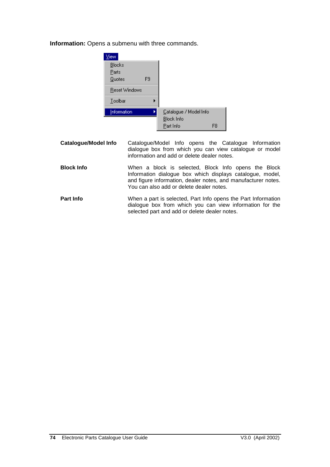**Information:** Opens a submenu with three commands.

| View                                   |                                                         |
|----------------------------------------|---------------------------------------------------------|
| Blocks<br>Parts<br><b>Quotes</b><br>F9 |                                                         |
| Reset Windows                          |                                                         |
| Toolbar                                |                                                         |
| Information                            | Catalogue / Model Info<br>Block Info<br>Part Info<br>F8 |

**Catalogue/Model Info** Catalogue/Model Info opens the Catalogue Information dialogue box from which you can view catalogue or model information and add or delete dealer notes. **Block Info** When a block is selected, Block Info opens the Block Information dialogue box which displays catalogue, model, and figure information, dealer notes, and manufacturer notes. You can also add or delete dealer notes. **Part Info** When a part is selected, Part Info opens the Part Information dialogue box from which you can view information for the

selected part and add or delete dealer notes.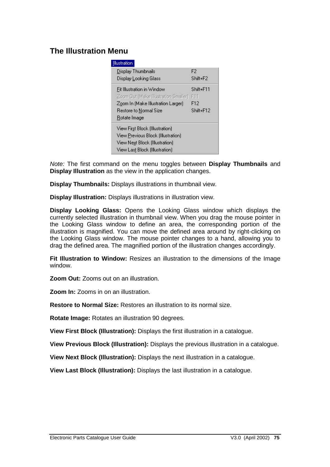### **The Illustration Menu**

| Illustration                         |                |
|--------------------------------------|----------------|
| Display Thumbnails                   | F <sub>2</sub> |
| Display Looking Glass                | Shift+F2       |
| Fit Illustration in Window           | Shift+F11      |
| Zoom Out (Make Illustration Smaller) | F11            |
| Zoom In (Make Illustration Larger)   | F12            |
| Restore to Normal Size               | Shift∔F12      |
| Rotate Image                         |                |
| View First Block (Illustration)      |                |
| View Previous Block (Illustration)   |                |
| View Next Block (Illustration)       |                |
| View Last Block (Illustration)       |                |

*Note:* The first command on the menu toggles between **Display Thumbnails** and **Display Illustration** as the view in the application changes.

**Display Thumbnails:** Displays illustrations in thumbnail view.

**Display Illustration:** Displays illustrations in illustration view.

**Display Looking Glass:** Opens the Looking Glass window which displays the currently selected illustration in thumbnail view. When you drag the mouse pointer in the Looking Glass window to define an area, the corresponding portion of the illustration is magnified. You can move the defined area around by right-clicking on the Looking Glass window. The mouse pointer changes to a hand, allowing you to drag the defined area. The magnified portion of the illustration changes accordingly.

**Fit Illustration to Window:** Resizes an illustration to the dimensions of the Image window.

**Zoom Out:** Zooms out on an illustration.

**Zoom In:** Zooms in on an illustration.

**Restore to Normal Size:** Restores an illustration to its normal size.

**Rotate Image:** Rotates an illustration 90 degrees.

**View First Block (Illustration):** Displays the first illustration in a catalogue.

**View Previous Block (Illustration):** Displays the previous illustration in a catalogue.

**View Next Block (Illustration):** Displays the next illustration in a catalogue.

**View Last Block (Illustration):** Displays the last illustration in a catalogue.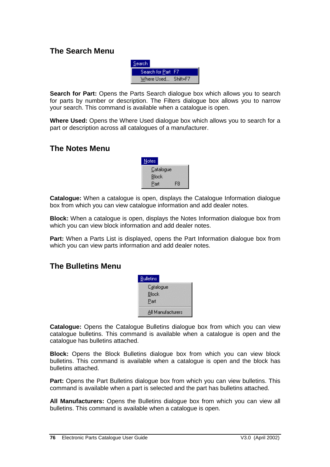### **The Search Menu**



**Search for Part:** Opens the Parts Search dialogue box which allows you to search for parts by number or description. The Filters dialogue box allows you to narrow your search. This command is available when a catalogue is open.

**Where Used:** Opens the Where Used dialogue box which allows you to search for a part or description across all catalogues of a manufacturer.

### **The Notes Menu**



**Catalogue:** When a catalogue is open, displays the Catalogue Information dialogue box from which you can view catalogue information and add dealer notes.

**Block:** When a catalogue is open, displays the Notes Information dialogue box from which you can view block information and add dealer notes.

**Part:** When a Parts List is displayed, opens the Part Information dialogue box from which you can view parts information and add dealer notes.

### **The Bulletins Menu**

| <b>Bulletins</b> |                   |
|------------------|-------------------|
| Catalogue        |                   |
| <b>Block</b>     |                   |
| Part             |                   |
|                  | All Manufacturers |

**Catalogue:** Opens the Catalogue Bulletins dialogue box from which you can view catalogue bulletins. This command is available when a catalogue is open and the catalogue has bulletins attached.

**Block:** Opens the Block Bulletins dialogue box from which you can view block bulletins. This command is available when a catalogue is open and the block has bulletins attached.

**Part:** Opens the Part Bulletins dialogue box from which you can view bulletins. This command is available when a part is selected and the part has bulletins attached.

**All Manufacturers:** Opens the Bulletins dialogue box from which you can view all bulletins. This command is available when a catalogue is open.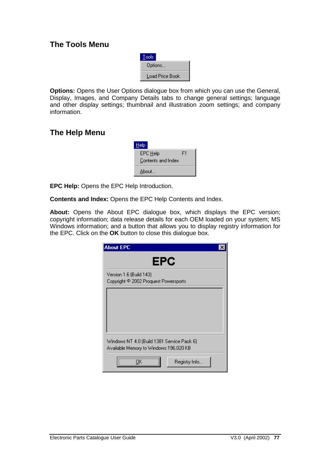### **The Tools Menu**



**Options:** Opens the User Options dialogue box from which you can use the General, Display, Images, and Company Details tabs to change general settings; language and other display settings; thumbnail and illustration zoom settings; and company information.

### **The Help Menu**

| Help               |    |
|--------------------|----|
| EPC Help           | F1 |
| Contents and Index |    |
| About              |    |

**EPC Help:** Opens the EPC Help Introduction.

**Contents and Index:** Opens the EPC Help Contents and Index.

**About:** Opens the About EPC dialogue box, which displays the EPC version; copyright information; data release details for each OEM loaded on your system; MS Windows information; and a button that allows you to display registry information for the EPC. Click on the **OK** button to close this dialogue box.

| <b>About EPC</b>                                                                     |  |
|--------------------------------------------------------------------------------------|--|
| EPC                                                                                  |  |
| Version 1.6 (Build 143)<br>Copyright <sup>©</sup> 2002 Proquest Powersports          |  |
|                                                                                      |  |
|                                                                                      |  |
|                                                                                      |  |
| Windows NT 4.0 (Build 1381 Service Pack 6)<br>Available Memory to Windows:196,020 KB |  |
| ΠK<br>Registry Info                                                                  |  |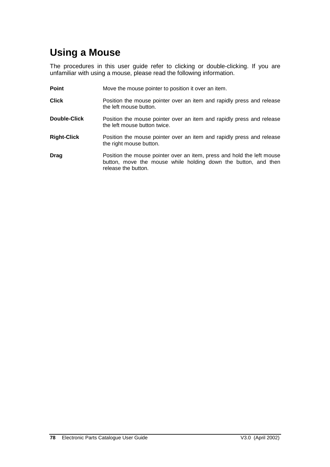# **Using a Mouse**

The procedures in this user guide refer to clicking or double-clicking. If you are unfamiliar with using a mouse, please read the following information.

| <b>Point</b>       | Move the mouse pointer to position it over an item.                                                                                                             |
|--------------------|-----------------------------------------------------------------------------------------------------------------------------------------------------------------|
| <b>Click</b>       | Position the mouse pointer over an item and rapidly press and release<br>the left mouse button.                                                                 |
| Double-Click       | Position the mouse pointer over an item and rapidly press and release<br>the left mouse button twice.                                                           |
| <b>Right-Click</b> | Position the mouse pointer over an item and rapidly press and release<br>the right mouse button.                                                                |
| <b>Drag</b>        | Position the mouse pointer over an item, press and hold the left mouse<br>button, move the mouse while holding down the button, and then<br>release the button. |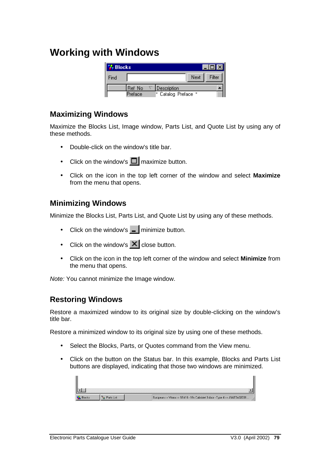## **Working with Windows**

| <b>Blocks</b> |         |                     |       |        |
|---------------|---------|---------------------|-------|--------|
| Find          |         |                     | Next. | Filter |
|               | Ref No  | Description         |       |        |
|               | Preface | * Catalog Preface * |       |        |

### **Maximizing Windows**

Maximize the Blocks List, Image window, Parts List, and Quote List by using any of these methods.

- Double-click on the window's title bar.
- Click on the window's  $\Box$  maximize button.
- Click on the icon in the top left corner of the window and select **Maximize** from the menu that opens.

### **Minimizing Windows**

Minimize the Blocks List, Parts List, and Quote List by using any of these methods.

- Click on the window's  $\Box$  minimize button.
- Click on the window's  $\mathbf{\overline{X}}$  close button.
- Click on the icon in the top left corner of the window and select **Minimize** from the menu that opens.

*Note:* You cannot minimize the Image window.

### **Restoring Windows**

Restore a maximized window to its original size by double-clicking on the window's title bar.

Restore a minimized window to its original size by using one of these methods.

- Select the Blocks, Parts, or Quotes command from the View menu.
- Click on the button on the Status bar. In this example, Blocks and Parts List buttons are displayed, indicating that those two windows are minimized.

| European >> Vitara >> SE416 - 16v Cabriolet 3 door - Type 4 >> JSAETA02C01 |
|----------------------------------------------------------------------------|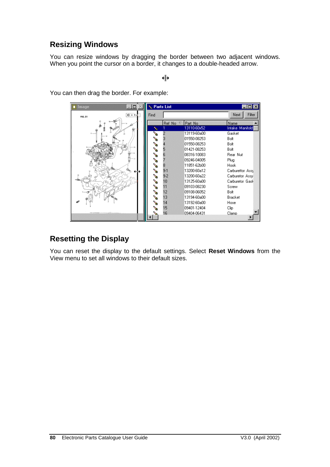### **Resizing Windows**

You can resize windows by dragging the border between two adjacent windows. When you point the cursor on a border, it changes to a double-headed arrow.

#### +⊪

You can then drag the border. For example:



### **Resetting the Display**

You can reset the display to the default settings. Select **Reset Windows** from the View menu to set all windows to their default sizes.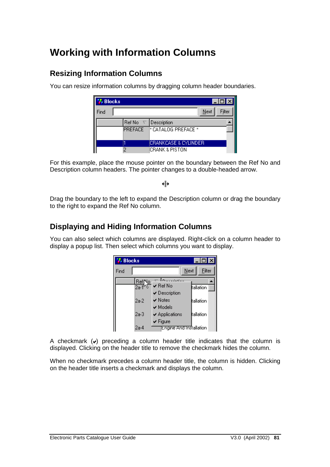# **Working with Information Columns**

### **Resizing Information Columns**

You can resize information columns by dragging column header boundaries.

| <b>Blocks</b> |                | $  \_   \square   \times$ |
|---------------|----------------|---------------------------|
| Find          |                | Filter<br>Next            |
|               | Ref No         | Description               |
|               | <b>PREFACE</b> | * CATALOG PREFACE *       |
|               |                | ICRANKCASE & CYLINDER     |
|               |                | ICRANK & PISTON           |

For this example, place the mouse pointer on the boundary between the Ref No and Description column headers. The pointer changes to a double-headed arrow.

+⊪

Drag the boundary to the left to expand the Description column or drag the boundary to the right to expand the Ref No column.

### **Displaying and Hiding Information Columns**

You can also select which columns are displayed. Right-click on a column header to display a popup list. Then select which columns you want to display.

| <b>U.</b> Blocks |              |                             | $ \Box$ $\times$ |
|------------------|--------------|-----------------------------|------------------|
| Find             |              | Next                        | Filter           |
|                  | <u>RefNo</u> | . <i>. .</i>                |                  |
|                  | $2a-1$       | $\vee$ Ref No               | tallation        |
|                  |              | $\vee$ Description          |                  |
|                  | $2a-2$       | $\vee$ Notes                | tallation        |
|                  |              | $\blacktriangledown$ Models |                  |
|                  | 2a-3         | $\vee$ Applications         | tallation        |
|                  |              | $\vee$ Figure               |                  |
|                  | 2a-4         | Engine And Installation     |                  |

A checkmark  $(v)$  preceding a column header title indicates that the column is displayed. Clicking on the header title to remove the checkmark hides the column.

When no checkmark precedes a column header title, the column is hidden. Clicking on the header title inserts a checkmark and displays the column.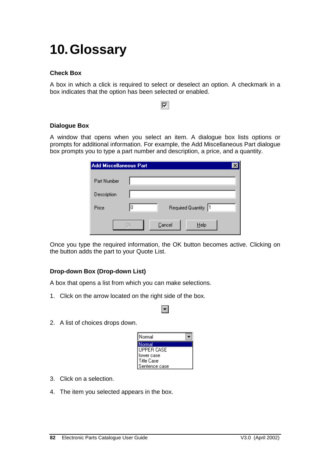# **10. Glossary**

#### **Check Box**

A box in which a click is required to select or deselect an option. A checkmark in a box indicates that the option has been selected or enabled.

 $\overline{\mathbf{v}}$ 

#### **Dialogue Box**

A window that opens when you select an item. A dialogue box lists options or prompts for additional information. For example, the Add Miscellaneous Part dialogue box prompts you to type a part number and description, a price, and a quantity.

| <b>Add Miscellaneous Part</b> |                           |      |
|-------------------------------|---------------------------|------|
| Part Number                   |                           |      |
| Description                   |                           |      |
| Price                         | Required Quantity 1<br>10 |      |
|                               | Cancel                    | Help |

Once you type the required information, the OK button becomes active. Clicking on the button adds the part to your Quote List.

#### **Drop-down Box (Drop-down List)**

A box that opens a list from which you can make selections.

1. Click on the arrow located on the right side of the box.

2. A list of choices drops down.

| l Normal        |
|-----------------|
| rmal            |
| IHPPER CASE     |
| Hower case      |
| l Title Case    |
| l Sentence case |

 $\vert \cdot \vert$ 

- 3. Click on a selection.
- 4. The item you selected appears in the box.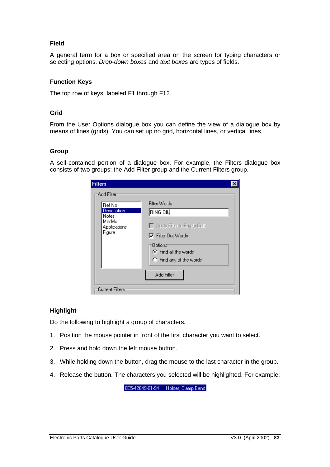### **Field**

A general term for a box or specified area on the screen for typing characters or selecting options. *Drop-down boxes* and *text boxes* are types of fields.

#### **Function Keys**

The top row of keys, labeled F1 through F12.

#### **Grid**

From the User Options dialogue box you can define the view of a dialogue box by means of lines (grids). You can set up no grid, horizontal lines, or vertical lines.

#### **Group**

A self-contained portion of a dialogue box. For example, the Filters dialogue box consists of two groups: the Add Filter group and the Current Filters group.

| <b>Filters</b>                                                                   |                                                                                                                                                                   |  |
|----------------------------------------------------------------------------------|-------------------------------------------------------------------------------------------------------------------------------------------------------------------|--|
| Add Filter<br>Ref No<br>Description<br>Notes<br>Models<br>Applications<br>Figure | Filter Words<br>RING OIL<br>Apply Filter to Empty Cells<br>$\nabla$ Filter Out Words<br>:Options<br>◯ Find all the words<br>C Find any of the words<br>Add Filter |  |
| Current Filters <sup>.</sup>                                                     |                                                                                                                                                                   |  |

#### **Highlight**

Do the following to highlight a group of characters.

- 1. Position the mouse pointer in front of the first character you want to select.
- 2. Press and hold down the left mouse button.
- 3. While holding down the button, drag the mouse to the last character in the group.
- 4. Release the button. The characters you selected will be highlighted. For example:

6E5-42649-01-94 Holder, Clamp Band